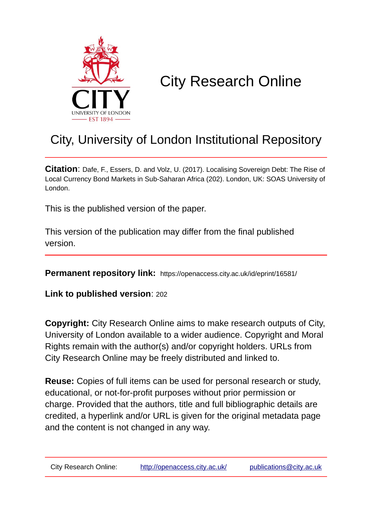

# City Research Online

# City, University of London Institutional Repository

**Citation**: Dafe, F., Essers, D. and Volz, U. (2017). Localising Sovereign Debt: The Rise of Local Currency Bond Markets in Sub-Saharan Africa (202). London, UK: SOAS University of London.

This is the published version of the paper.

This version of the publication may differ from the final published version.

**Permanent repository link:** https://openaccess.city.ac.uk/id/eprint/16581/

**Link to published version**: 202

**Copyright:** City Research Online aims to make research outputs of City, University of London available to a wider audience. Copyright and Moral Rights remain with the author(s) and/or copyright holders. URLs from City Research Online may be freely distributed and linked to.

**Reuse:** Copies of full items can be used for personal research or study, educational, or not-for-profit purposes without prior permission or charge. Provided that the authors, title and full bibliographic details are credited, a hyperlink and/or URL is given for the original metadata page and the content is not changed in any way.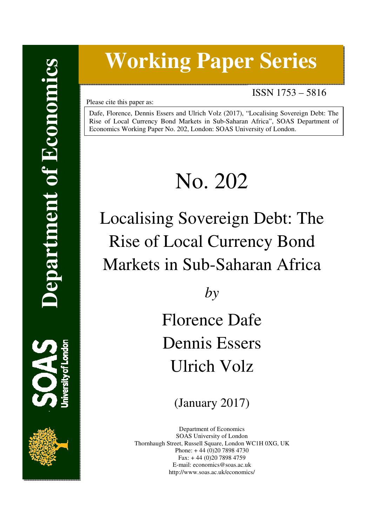# **Working Paper Series**

ISSN 1753 – 5816

Please cite this paper as:

Dafe, Florence, Dennis Essers and Ulrich Volz (2017), "Localising Sovereign Debt: The Rise of Local Currency Bond Markets in Sub-Saharan Africa", SOAS Department of Economics Working Paper No. 202, London: SOAS University of London.

# No. 202

# Localising Sovereign Debt: The Rise of Local Currency Bond Markets in Sub-Saharan Africa

*by* 

Florence Dafe Dennis Essers Ulrich Volz

(January 2017)

Department of Economics SOAS University of London Thornhaugh Street, Russell Square, London WC1H 0XG, UK Phone: + 44 (0)20 7898 4730 Fax: + 44 (0)20 7898 4759 E-mail: economics@soas.ac.uk http://www.soas.ac.uk/economics/

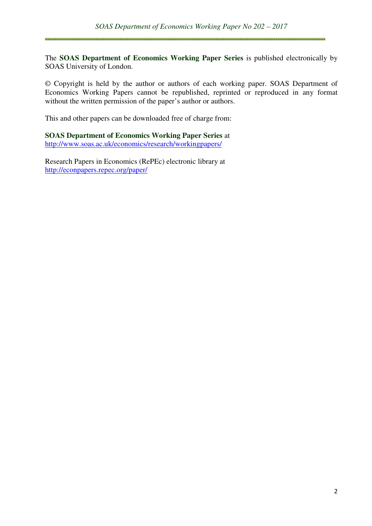The **SOAS Department of Economics Working Paper Series** is published electronically by SOAS University of London.

© Copyright is held by the author or authors of each working paper. SOAS Department of Economics Working Papers cannot be republished, reprinted or reproduced in any format without the written permission of the paper's author or authors.

This and other papers can be downloaded free of charge from:

**SOAS Department of Economics Working Paper Series** at http://www.soas.ac.uk/economics/research/workingpapers/

Research Papers in Economics (RePEc) electronic library at http://econpapers.repec.org/paper/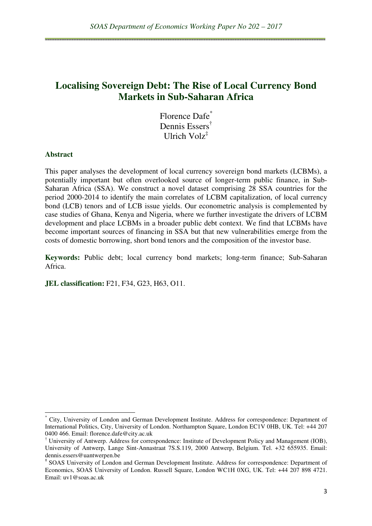# **Localising Sovereign Debt: The Rise of Local Currency Bond Markets in Sub-Saharan Africa**

Florence Dafe<sup>\*</sup> Dennis Essers† Ulrich Volz‡

#### **Abstract**

 $\overline{a}$ 

This paper analyses the development of local currency sovereign bond markets (LCBMs), a potentially important but often overlooked source of longer-term public finance, in Sub-Saharan Africa (SSA). We construct a novel dataset comprising 28 SSA countries for the period 2000-2014 to identify the main correlates of LCBM capitalization, of local currency bond (LCB) tenors and of LCB issue yields. Our econometric analysis is complemented by case studies of Ghana, Kenya and Nigeria, where we further investigate the drivers of LCBM development and place LCBMs in a broader public debt context. We find that LCBMs have become important sources of financing in SSA but that new vulnerabilities emerge from the costs of domestic borrowing, short bond tenors and the composition of the investor base.

**Keywords:** Public debt; local currency bond markets; long-term finance; Sub-Saharan Africa.

**JEL classification:** F21, F34, G23, H63, O11.

<sup>\*</sup> City, University of London and German Development Institute. Address for correspondence: Department of International Politics, City, University of London. Northampton Square, London EC1V 0HB, UK. Tel: +44 207 0400 466. Email: florence.dafe@city.ac.uk

<sup>†</sup> University of Antwerp. Address for correspondence: Institute of Development Policy and Management (IOB), University of Antwerp, Lange Sint-Annastraat 7S.S.119, 2000 Antwerp, Belgium. Tel. +32 655935. Email: dennis.essers@uantwerpen.be

<sup>‡</sup> SOAS University of London and German Development Institute. Address for correspondence: Department of Economics, SOAS University of London. Russell Square, London WC1H 0XG, UK. Tel: +44 207 898 4721. Email: uv1@soas.ac.uk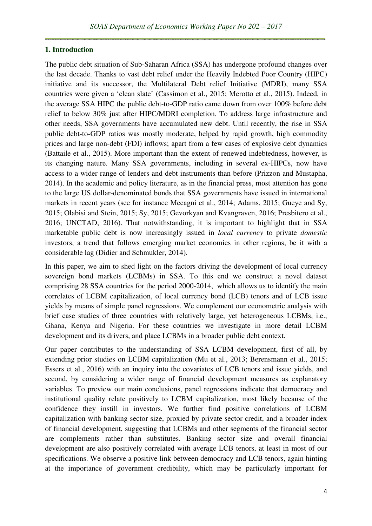#### **1. Introduction**

The public debt situation of Sub-Saharan Africa (SSA) has undergone profound changes over the last decade. Thanks to vast debt relief under the Heavily Indebted Poor Country (HIPC) initiative and its successor, the Multilateral Debt relief Initiative (MDRI), many SSA countries were given a 'clean slate' (Cassimon et al., 2015; Merotto et al., 2015). Indeed, in the average SSA HIPC the public debt-to-GDP ratio came down from over 100% before debt relief to below 30% just after HIPC/MDRI completion. To address large infrastructure and other needs, SSA governments have accumulated new debt. Until recently, the rise in SSA public debt-to-GDP ratios was mostly moderate, helped by rapid growth, high commodity prices and large non-debt (FDI) inflows; apart from a few cases of explosive debt dynamics (Battaile et al., 2015). More important than the extent of renewed indebtedness, however, is its changing nature. Many SSA governments, including in several ex-HIPCs, now have access to a wider range of lenders and debt instruments than before (Prizzon and Mustapha, 2014). In the academic and policy literature, as in the financial press, most attention has gone to the large US dollar-denominated bonds that SSA governments have issued in international markets in recent years (see for instance Mecagni et al., 2014; Adams, 2015; Gueye and Sy, 2015; Olabisi and Stein, 2015; Sy, 2015; Gevorkyan and Kvangraven, 2016; Presbitero et al., 2016; UNCTAD, 2016). That notwithstanding, it is important to highlight that in SSA marketable public debt is now increasingly issued in *local currency* to private *domestic* investors, a trend that follows emerging market economies in other regions, be it with a considerable lag (Didier and Schmukler, 2014).

In this paper, we aim to shed light on the factors driving the development of local currency sovereign bond markets (LCBMs) in SSA. To this end we construct a novel dataset comprising 28 SSA countries for the period 2000-2014, which allows us to identify the main correlates of LCBM capitalization, of local currency bond (LCB) tenors and of LCB issue yields by means of simple panel regressions. We complement our econometric analysis with brief case studies of three countries with relatively large, yet heterogeneous LCBMs, i.e., Ghana, Kenya and Nigeria. For these countries we investigate in more detail LCBM development and its drivers, and place LCBMs in a broader public debt context.

Our paper contributes to the understanding of SSA LCBM development, first of all, by extending prior studies on LCBM capitalization (Mu et al., 2013; Berensmann et al., 2015; Essers et al., 2016) with an inquiry into the covariates of LCB tenors and issue yields, and second, by considering a wider range of financial development measures as explanatory variables. To preview our main conclusions, panel regressions indicate that democracy and institutional quality relate positively to LCBM capitalization, most likely because of the confidence they instill in investors. We further find positive correlations of LCBM capitalization with banking sector size, proxied by private sector credit, and a broader index of financial development, suggesting that LCBMs and other segments of the financial sector are complements rather than substitutes. Banking sector size and overall financial development are also positively correlated with average LCB tenors, at least in most of our specifications. We observe a positive link between democracy and LCB tenors, again hinting at the importance of government credibility, which may be particularly important for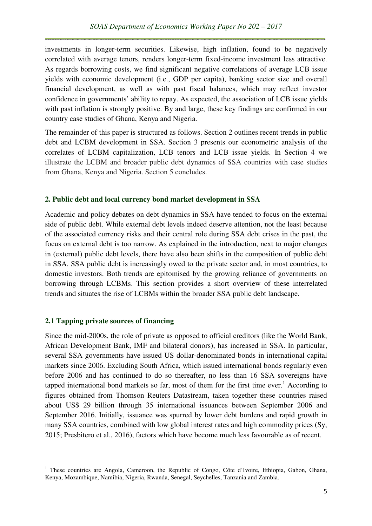investments in longer-term securities. Likewise, high inflation, found to be negatively correlated with average tenors, renders longer-term fixed-income investment less attractive. As regards borrowing costs, we find significant negative correlations of average LCB issue yields with economic development (i.e., GDP per capita), banking sector size and overall financial development, as well as with past fiscal balances, which may reflect investor confidence in governments' ability to repay. As expected, the association of LCB issue yields with past inflation is strongly positive. By and large, these key findings are confirmed in our country case studies of Ghana, Kenya and Nigeria.

The remainder of this paper is structured as follows. Section 2 outlines recent trends in public debt and LCBM development in SSA. Section 3 presents our econometric analysis of the correlates of LCBM capitalization, LCB tenors and LCB issue yields. In Section 4 we illustrate the LCBM and broader public debt dynamics of SSA countries with case studies from Ghana, Kenya and Nigeria. Section 5 concludes.

### **2. Public debt and local currency bond market development in SSA**

Academic and policy debates on debt dynamics in SSA have tended to focus on the external side of public debt. While external debt levels indeed deserve attention, not the least because of the associated currency risks and their central role during SSA debt crises in the past, the focus on external debt is too narrow. As explained in the introduction, next to major changes in (external) public debt levels, there have also been shifts in the composition of public debt in SSA. SSA public debt is increasingly owed to the private sector and, in most countries, to domestic investors. Both trends are epitomised by the growing reliance of governments on borrowing through LCBMs. This section provides a short overview of these interrelated trends and situates the rise of LCBMs within the broader SSA public debt landscape.

#### **2.1 Tapping private sources of financing**

l

Since the mid-2000s, the role of private as opposed to official creditors (like the World Bank, African Development Bank, IMF and bilateral donors), has increased in SSA. In particular, several SSA governments have issued US dollar-denominated bonds in international capital markets since 2006. Excluding South Africa, which issued international bonds regularly even before 2006 and has continued to do so thereafter, no less than 16 SSA sovereigns have tapped international bond markets so far, most of them for the first time ever.<sup>1</sup> According to figures obtained from Thomson Reuters Datastream, taken together these countries raised about US\$ 29 billion through 35 international issuances between September 2006 and September 2016. Initially, issuance was spurred by lower debt burdens and rapid growth in many SSA countries, combined with low global interest rates and high commodity prices (Sy, 2015; Presbitero et al., 2016), factors which have become much less favourable as of recent.

<sup>&</sup>lt;sup>1</sup> These countries are Angola, Cameroon, the Republic of Congo, Côte d'Ivoire, Ethiopia, Gabon, Ghana, Kenya, Mozambique, Namibia, Nigeria, Rwanda, Senegal, Seychelles, Tanzania and Zambia.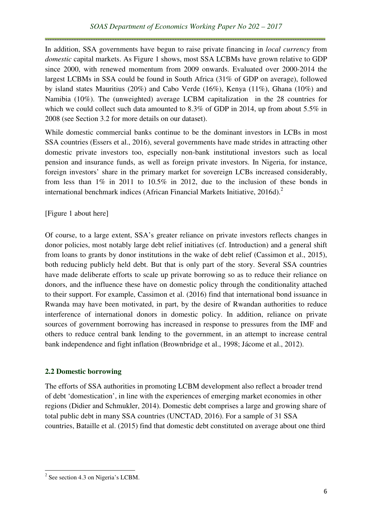In addition, SSA governments have begun to raise private financing in *local currency* from *domestic* capital markets. As Figure 1 shows, most SSA LCBMs have grown relative to GDP since 2000, with renewed momentum from 2009 onwards. Evaluated over 2000-2014 the largest LCBMs in SSA could be found in South Africa (31% of GDP on average), followed by island states Mauritius (20%) and Cabo Verde (16%), Kenya (11%), Ghana (10%) and Namibia (10%). The (unweighted) average LCBM capitalization in the 28 countries for which we could collect such data amounted to 8.3% of GDP in 2014, up from about 5.5% in 2008 (see Section 3.2 for more details on our dataset).

While domestic commercial banks continue to be the dominant investors in LCBs in most SSA countries (Essers et al., 2016), several governments have made strides in attracting other domestic private investors too, especially non-bank institutional investors such as local pension and insurance funds, as well as foreign private investors. In Nigeria, for instance, foreign investors' share in the primary market for sovereign LCBs increased considerably, from less than 1% in 2011 to 10.5% in 2012, due to the inclusion of these bonds in international benchmark indices (African Financial Markets Initiative,  $2016d$ ).<sup>2</sup>

### [Figure 1 about here]

Of course, to a large extent, SSA's greater reliance on private investors reflects changes in donor policies, most notably large debt relief initiatives (cf. Introduction) and a general shift from loans to grants by donor institutions in the wake of debt relief (Cassimon et al., 2015), both reducing publicly held debt. But that is only part of the story. Several SSA countries have made deliberate efforts to scale up private borrowing so as to reduce their reliance on donors, and the influence these have on domestic policy through the conditionality attached to their support. For example, Cassimon et al. (2016) find that international bond issuance in Rwanda may have been motivated, in part, by the desire of Rwandan authorities to reduce interference of international donors in domestic policy. In addition, reliance on private sources of government borrowing has increased in response to pressures from the IMF and others to reduce central bank lending to the government, in an attempt to increase central bank independence and fight inflation (Brownbridge et al., 1998; Jácome et al., 2012).

# **2.2 Domestic borrowing**

The efforts of SSA authorities in promoting LCBM development also reflect a broader trend of debt 'domestication', in line with the experiences of emerging market economies in other regions (Didier and Schmukler, 2014). Domestic debt comprises a large and growing share of total public debt in many SSA countries (UNCTAD, 2016). For a sample of 31 SSA countries, Bataille et al. (2015) find that domestic debt constituted on average about one third

 $\overline{a}$ 

<sup>&</sup>lt;sup>2</sup> See section 4.3 on Nigeria's LCBM.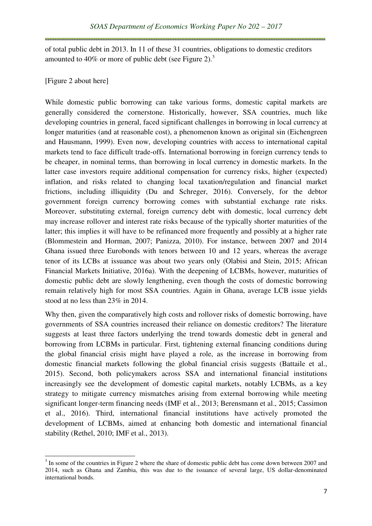of total public debt in 2013. In 11 of these 31 countries, obligations to domestic creditors amounted to 40% or more of public debt (see Figure 2). $3$ 

[Figure 2 about here]

l

While domestic public borrowing can take various forms, domestic capital markets are generally considered the cornerstone. Historically, however, SSA countries, much like developing countries in general, faced significant challenges in borrowing in local currency at longer maturities (and at reasonable cost), a phenomenon known as original sin (Eichengreen and Hausmann, 1999). Even now, developing countries with access to international capital markets tend to face difficult trade-offs. International borrowing in foreign currency tends to be cheaper, in nominal terms, than borrowing in local currency in domestic markets. In the latter case investors require additional compensation for currency risks, higher (expected) inflation, and risks related to changing local taxation/regulation and financial market frictions, including illiquidity (Du and Schreger, 2016). Conversely, for the debtor government foreign currency borrowing comes with substantial exchange rate risks. Moreover, substituting external, foreign currency debt with domestic, local currency debt may increase rollover and interest rate risks because of the typically shorter maturities of the latter; this implies it will have to be refinanced more frequently and possibly at a higher rate (Blommestein and Horman, 2007; Panizza, 2010). For instance, between 2007 and 2014 Ghana issued three Eurobonds with tenors between 10 and 12 years, whereas the average tenor of its LCBs at issuance was about two years only (Olabisi and Stein, 2015; African Financial Markets Initiative, 2016a). With the deepening of LCBMs, however, maturities of domestic public debt are slowly lengthening, even though the costs of domestic borrowing remain relatively high for most SSA countries. Again in Ghana, average LCB issue yields stood at no less than 23% in 2014.

Why then, given the comparatively high costs and rollover risks of domestic borrowing, have governments of SSA countries increased their reliance on domestic creditors? The literature suggests at least three factors underlying the trend towards domestic debt in general and borrowing from LCBMs in particular. First, tightening external financing conditions during the global financial crisis might have played a role, as the increase in borrowing from domestic financial markets following the global financial crisis suggests (Battaile et al., 2015). Second, both policymakers across SSA and international financial institutions increasingly see the development of domestic capital markets, notably LCBMs, as a key strategy to mitigate currency mismatches arising from external borrowing while meeting significant longer-term financing needs (IMF et al., 2013; Berensmann et al., 2015; Cassimon et al., 2016). Third, international financial institutions have actively promoted the development of LCBMs, aimed at enhancing both domestic and international financial stability (Rethel, 2010; IMF et al., 2013).

 $3$  In some of the countries in Figure 2 where the share of domestic public debt has come down between 2007 and 2014, such as Ghana and Zambia, this was due to the issuance of several large, US dollar-denominated international bonds.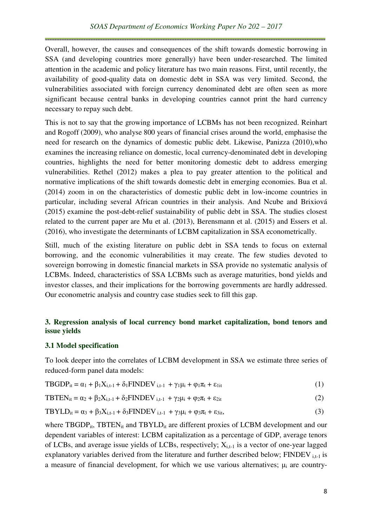Overall, however, the causes and consequences of the shift towards domestic borrowing in SSA (and developing countries more generally) have been under-researched. The limited attention in the academic and policy literature has two main reasons. First, until recently, the availability of good-quality data on domestic debt in SSA was very limited. Second, the vulnerabilities associated with foreign currency denominated debt are often seen as more significant because central banks in developing countries cannot print the hard currency necessary to repay such debt.

This is not to say that the growing importance of LCBMs has not been recognized. Reinhart and Rogoff (2009), who analyse 800 years of financial crises around the world, emphasise the need for research on the dynamics of domestic public debt. Likewise, Panizza (2010),who examines the increasing reliance on domestic, local currency-denominated debt in developing countries, highlights the need for better monitoring domestic debt to address emerging vulnerabilities. Rethel (2012) makes a plea to pay greater attention to the political and normative implications of the shift towards domestic debt in emerging economies. Bua et al. (2014) zoom in on the characteristics of domestic public debt in low-income countries in particular, including several African countries in their analysis. And Ncube and Brixiová (2015) examine the post-debt-relief sustainability of public debt in SSA. The studies closest related to the current paper are Mu et al. (2013), Berensmann et al. (2015) and Essers et al. (2016), who investigate the determinants of LCBM capitalization in SSA econometrically.

Still, much of the existing literature on public debt in SSA tends to focus on external borrowing, and the economic vulnerabilities it may create. The few studies devoted to sovereign borrowing in domestic financial markets in SSA provide no systematic analysis of LCBMs. Indeed, characteristics of SSA LCBMs such as average maturities, bond yields and investor classes, and their implications for the borrowing governments are hardly addressed. Our econometric analysis and country case studies seek to fill this gap.

# **3. Regression analysis of local currency bond market capitalization, bond tenors and issue yields**

#### **3.1 Model specification**

To look deeper into the correlates of LCBM development in SSA we estimate three series of reduced-form panel data models:

$$
TBGDP_{it} = \alpha_1 + \beta_1 X_{i,t-1} + \delta_1 FINDEV_{i,t-1} + \gamma_1 \mu_i + \varphi_1 \pi_t + \varepsilon_{1it}
$$
\n
$$
\tag{1}
$$

$$
TBTEN_{it} = \alpha_2 + \beta_2 X_{i,t-1} + \delta_2 FINDEV_{i,t-1} + \gamma_2 \mu_i + \varphi_2 \pi_t + \varepsilon_{2it}
$$
 (2)

$$
TBYLD_{it} = \alpha_3 + \beta_3 X_{i,t-1} + \delta_3 FINDEV_{i,t-1} + \gamma_3 \mu_i + \varphi_3 \pi_t + \varepsilon_{3it},
$$
\n(3)

where TBGDP<sub>it</sub>, TBTEN<sub>it</sub> and TBYLD<sub>it</sub> are different proxies of LCBM development and our dependent variables of interest: LCBM capitalization as a percentage of GDP, average tenors of LCBs, and average issue yields of LCBs, respectively;  $X_{i,t-1}$  is a vector of one-year lagged explanatory variables derived from the literature and further described below; FINDEV  $_{i,t-1}$  is a measure of financial development, for which we use various alternatives;  $\mu_i$  are country-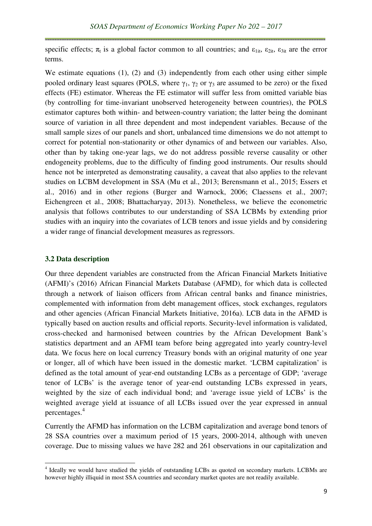specific effects;  $\pi_t$  is a global factor common to all countries; and  $\varepsilon_{1it}$ ,  $\varepsilon_{2it}$ ,  $\varepsilon_{3it}$  are the error terms.

We estimate equations (1), (2) and (3) independently from each other using either simple pooled ordinary least squares (POLS, where  $\gamma_1$ ,  $\gamma_2$  or  $\gamma_3$  are assumed to be zero) or the fixed effects (FE) estimator. Whereas the FE estimator will suffer less from omitted variable bias (by controlling for time-invariant unobserved heterogeneity between countries), the POLS estimator captures both within- and between-country variation; the latter being the dominant source of variation in all three dependent and most independent variables. Because of the small sample sizes of our panels and short, unbalanced time dimensions we do not attempt to correct for potential non-stationarity or other dynamics of and between our variables. Also, other than by taking one-year lags, we do not address possible reverse causality or other endogeneity problems, due to the difficulty of finding good instruments. Our results should hence not be interpreted as demonstrating causality, a caveat that also applies to the relevant studies on LCBM development in SSA (Mu et al., 2013; Berensmann et al., 2015; Essers et al., 2016) and in other regions (Burger and Warnock, 2006; Claessens et al., 2007; Eichengreen et al., 2008; Bhattacharyay, 2013). Nonetheless, we believe the econometric analysis that follows contributes to our understanding of SSA LCBMs by extending prior studies with an inquiry into the covariates of LCB tenors and issue yields and by considering a wider range of financial development measures as regressors.

#### **3.2 Data description**

l

Our three dependent variables are constructed from the African Financial Markets Initiative (AFMI)'s (2016) African Financial Markets Database (AFMD), for which data is collected through a network of liaison officers from African central banks and finance ministries, complemented with information from debt management offices, stock exchanges, regulators and other agencies (African Financial Markets Initiative, 2016a). LCB data in the AFMD is typically based on auction results and official reports. Security-level information is validated, cross-checked and harmonised between countries by the African Development Bank's statistics department and an AFMI team before being aggregated into yearly country-level data. We focus here on local currency Treasury bonds with an original maturity of one year or longer, all of which have been issued in the domestic market. 'LCBM capitalization' is defined as the total amount of year-end outstanding LCBs as a percentage of GDP; 'average tenor of LCBs' is the average tenor of year-end outstanding LCBs expressed in years, weighted by the size of each individual bond; and 'average issue yield of LCBs' is the weighted average yield at issuance of all LCBs issued over the year expressed in annual percentages.<sup>4</sup>

Currently the AFMD has information on the LCBM capitalization and average bond tenors of 28 SSA countries over a maximum period of 15 years, 2000-2014, although with uneven coverage. Due to missing values we have 282 and 261 observations in our capitalization and

<sup>&</sup>lt;sup>4</sup> Ideally we would have studied the yields of outstanding LCBs as quoted on secondary markets. LCBMs are however highly illiquid in most SSA countries and secondary market quotes are not readily available.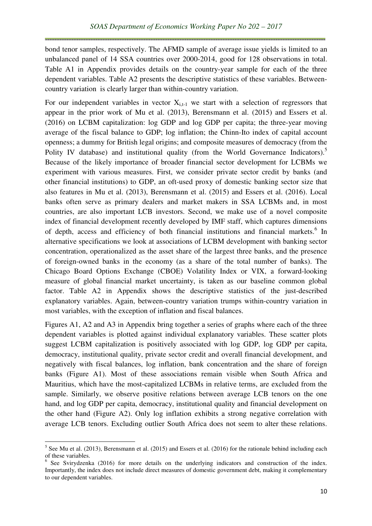bond tenor samples, respectively. The AFMD sample of average issue yields is limited to an unbalanced panel of 14 SSA countries over 2000-2014, good for 128 observations in total. Table A1 in Appendix provides details on the country-year sample for each of the three dependent variables. Table A2 presents the descriptive statistics of these variables. Betweencountry variation is clearly larger than within-country variation.

For our independent variables in vector  $X_{i+1}$  we start with a selection of regressors that appear in the prior work of Mu et al. (2013), Berensmann et al. (2015) and Essers et al. (2016) on LCBM capitalization: log GDP and log GDP per capita; the three-year moving average of the fiscal balance to GDP; log inflation; the Chinn-Ito index of capital account openness; a dummy for British legal origins; and composite measures of democracy (from the Polity IV database) and institutional quality (from the World Governance Indicators).<sup>5</sup> Because of the likely importance of broader financial sector development for LCBMs we experiment with various measures. First, we consider private sector credit by banks (and other financial institutions) to GDP, an oft-used proxy of domestic banking sector size that also features in Mu et al. (2013), Berensmann et al. (2015) and Essers et al. (2016). Local banks often serve as primary dealers and market makers in SSA LCBMs and, in most countries, are also important LCB investors. Second, we make use of a novel composite index of financial development recently developed by IMF staff, which captures dimensions of depth, access and efficiency of both financial institutions and financial markets.<sup>6</sup> In alternative specifications we look at associations of LCBM development with banking sector concentration, operationalized as the asset share of the largest three banks, and the presence of foreign-owned banks in the economy (as a share of the total number of banks). The Chicago Board Options Exchange (CBOE) Volatility Index or VIX, a forward-looking measure of global financial market uncertainty, is taken as our baseline common global factor. Table A2 in Appendix shows the descriptive statistics of the just-described explanatory variables. Again, between-country variation trumps within-country variation in most variables, with the exception of inflation and fiscal balances.

Figures A1, A2 and A3 in Appendix bring together a series of graphs where each of the three dependent variables is plotted against individual explanatory variables. These scatter plots suggest LCBM capitalization is positively associated with log GDP, log GDP per capita, democracy, institutional quality, private sector credit and overall financial development, and negatively with fiscal balances, log inflation, bank concentration and the share of foreign banks (Figure A1). Most of these associations remain visible when South Africa and Mauritius, which have the most-capitalized LCBMs in relative terms, are excluded from the sample. Similarly, we observe positive relations between average LCB tenors on the one hand, and log GDP per capita, democracy, institutional quality and financial development on the other hand (Figure A2). Only log inflation exhibits a strong negative correlation with average LCB tenors. Excluding outlier South Africa does not seem to alter these relations.

l

 $<sup>5</sup>$  See Mu et al. (2013), Berensmann et al. (2015) and Essers et al. (2016) for the rationale behind including each</sup> of these variables.

<sup>&</sup>lt;sup>6</sup> See Svirydzenka (2016) for more details on the underlying indicators and construction of the index. Importantly, the index does not include direct measures of domestic government debt, making it complementary to our dependent variables.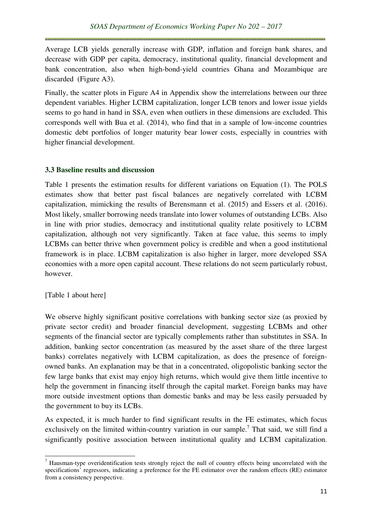Average LCB yields generally increase with GDP, inflation and foreign bank shares, and decrease with GDP per capita, democracy, institutional quality, financial development and bank concentration, also when high-bond-yield countries Ghana and Mozambique are discarded (Figure A3).

Finally, the scatter plots in Figure A4 in Appendix show the interrelations between our three dependent variables. Higher LCBM capitalization, longer LCB tenors and lower issue yields seems to go hand in hand in SSA, even when outliers in these dimensions are excluded. This corresponds well with Bua et al. (2014), who find that in a sample of low-income countries domestic debt portfolios of longer maturity bear lower costs, especially in countries with higher financial development.

### **3.3 Baseline results and discussion**

Table 1 presents the estimation results for different variations on Equation (1). The POLS estimates show that better past fiscal balances are negatively correlated with LCBM capitalization, mimicking the results of Berensmann et al. (2015) and Essers et al. (2016). Most likely, smaller borrowing needs translate into lower volumes of outstanding LCBs. Also in line with prior studies, democracy and institutional quality relate positively to LCBM capitalization, although not very significantly. Taken at face value, this seems to imply LCBMs can better thrive when government policy is credible and when a good institutional framework is in place. LCBM capitalization is also higher in larger, more developed SSA economies with a more open capital account. These relations do not seem particularly robust, however.

[Table 1 about here]

l

We observe highly significant positive correlations with banking sector size (as proxied by private sector credit) and broader financial development, suggesting LCBMs and other segments of the financial sector are typically complements rather than substitutes in SSA. In addition, banking sector concentration (as measured by the asset share of the three largest banks) correlates negatively with LCBM capitalization, as does the presence of foreignowned banks. An explanation may be that in a concentrated, oligopolistic banking sector the few large banks that exist may enjoy high returns, which would give them little incentive to help the government in financing itself through the capital market. Foreign banks may have more outside investment options than domestic banks and may be less easily persuaded by the government to buy its LCBs.

As expected, it is much harder to find significant results in the FE estimates, which focus exclusively on the limited within-country variation in our sample.<sup>7</sup> That said, we still find a significantly positive association between institutional quality and LCBM capitalization.

 $<sup>7</sup>$  Hausman-type overidentification tests strongly reject the null of country effects being uncorrelated with the</sup> specifications' regressors, indicating a preference for the FE estimator over the random effects (RE) estimator from a consistency perspective.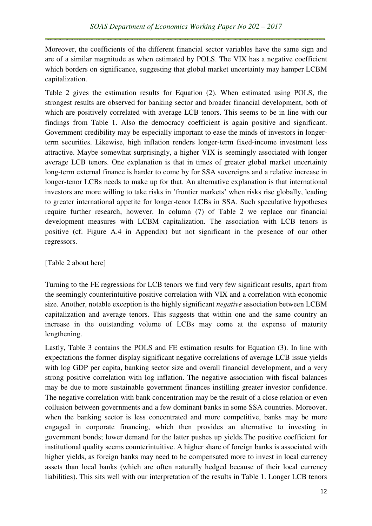Moreover, the coefficients of the different financial sector variables have the same sign and are of a similar magnitude as when estimated by POLS. The VIX has a negative coefficient which borders on significance, suggesting that global market uncertainty may hamper LCBM capitalization.

Table 2 gives the estimation results for Equation (2). When estimated using POLS, the strongest results are observed for banking sector and broader financial development, both of which are positively correlated with average LCB tenors. This seems to be in line with our findings from Table 1. Also the democracy coefficient is again positive and significant. Government credibility may be especially important to ease the minds of investors in longerterm securities. Likewise, high inflation renders longer-term fixed-income investment less attractive. Maybe somewhat surprisingly, a higher VIX is seemingly associated with longer average LCB tenors. One explanation is that in times of greater global market uncertainty long-term external finance is harder to come by for SSA sovereigns and a relative increase in longer-tenor LCBs needs to make up for that. An alternative explanation is that international investors are more willing to take risks in 'frontier markets' when risks rise globally, leading to greater international appetite for longer-tenor LCBs in SSA. Such speculative hypotheses require further research, however. In column (7) of Table 2 we replace our financial development measures with LCBM capitalization. The association with LCB tenors is positive (cf. Figure A.4 in Appendix) but not significant in the presence of our other regressors.

## [Table 2 about here]

Turning to the FE regressions for LCB tenors we find very few significant results, apart from the seemingly counterintuitive positive correlation with VIX and a correlation with economic size. Another, notable exception is the highly significant *negative* association between LCBM capitalization and average tenors. This suggests that within one and the same country an increase in the outstanding volume of LCBs may come at the expense of maturity lengthening.

Lastly, Table 3 contains the POLS and FE estimation results for Equation (3). In line with expectations the former display significant negative correlations of average LCB issue yields with log GDP per capita, banking sector size and overall financial development, and a very strong positive correlation with log inflation. The negative association with fiscal balances may be due to more sustainable government finances instilling greater investor confidence. The negative correlation with bank concentration may be the result of a close relation or even collusion between governments and a few dominant banks in some SSA countries. Moreover, when the banking sector is less concentrated and more competitive, banks may be more engaged in corporate financing, which then provides an alternative to investing in government bonds; lower demand for the latter pushes up yields.The positive coefficient for institutional quality seems counterintuitive. A higher share of foreign banks is associated with higher yields, as foreign banks may need to be compensated more to invest in local currency assets than local banks (which are often naturally hedged because of their local currency liabilities). This sits well with our interpretation of the results in Table 1. Longer LCB tenors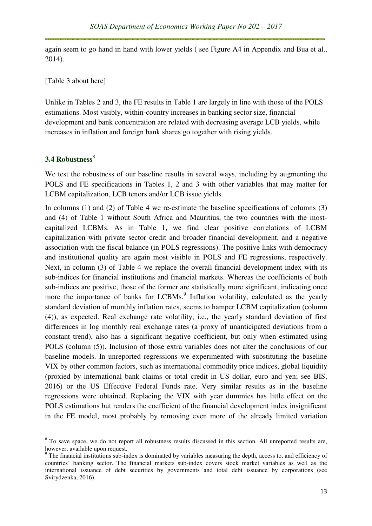again seem to go hand in hand with lower yields ( see Figure A4 in Appendix and Bua et al., 2014).

[Table 3 about here]

Unlike in Tables 2 and 3, the FE results in Table 1 are largely in line with those of the POLS estimations. Most visibly, within-country increases in banking sector size, financial development and bank concentration are related with decreasing average LCB yields, while increases in inflation and foreign bank shares go together with rising yields.

## 3.4 Robustness<sup>8</sup>

 $\overline{a}$ 

We test the robustness of our baseline results in several ways, including by augmenting the POLS and FE specifications in Tables 1, 2 and 3 with other variables that may matter for LCBM capitalization, LCB tenors and/or LCB issue yields.

In columns (1) and (2) of Table 4 we re-estimate the baseline specifications of columns (3) and (4) of Table 1 without South Africa and Mauritius, the two countries with the mostcapitalized LCBMs. As in Table 1, we find clear positive correlations of LCBM capitalization with private sector credit and broader financial development, and a negative association with the fiscal balance (in POLS regressions). The positive links with democracy and institutional quality are again most visible in POLS and FE regressions, respectively. Next, in column (3) of Table 4 we replace the overall financial development index with its sub-indices for financial institutions and financial markets. Whereas the coefficients of both sub-indices are positive, those of the former are statistically more significant, indicating once more the importance of banks for LCBMs.<sup>9</sup> Inflation volatility, calculated as the yearly standard deviation of monthly inflation rates, seems to hamper LCBM capitalization (column (4)), as expected. Real exchange rate volatility, i.e., the yearly standard deviation of first differences in log monthly real exchange rates (a proxy of unanticipated deviations from a constant trend), also has a significant negative coefficient, but only when estimated using POLS (column (5)). Inclusion of those extra variables does not alter the conclusions of our baseline models. In unreported regressions we experimented with substituting the baseline VIX by other common factors, such as international commodity price indices, global liquidity (proxied by international bank claims or total credit in US dollar, euro and yen; see BIS, 2016) or the US Effective Federal Funds rate. Very similar results as in the baseline regressions were obtained. Replacing the VIX with year dummies has little effect on the POLS estimations but renders the coefficient of the financial development index insignificant in the FE model, most probably by removing even more of the already limited variation

<sup>&</sup>lt;sup>8</sup> To save space, we do not report all robustness results discussed in this section. All unreported results are, however, available upon request.

<sup>&</sup>lt;sup>9</sup> The financial institutions sub-index is dominated by variables measuring the depth, access to, and efficiency of countries' banking sector. The financial markets sub-index covers stock market variables as well as the international issuance of debt securities by governments and total debt issuance by corporations (see Svirydzenka, 2016).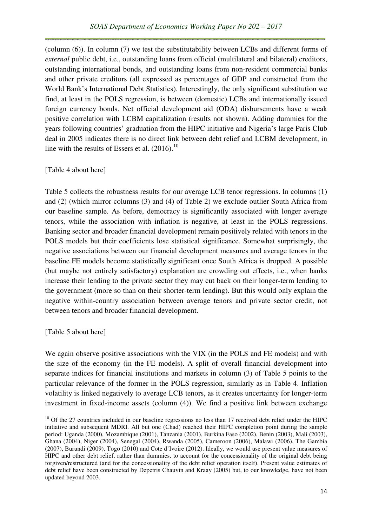(column (6)). In column (7) we test the substitutability between LCBs and different forms of *external* public debt, i.e., outstanding loans from official (multilateral and bilateral) creditors, outstanding international bonds, and outstanding loans from non-resident commercial banks and other private creditors (all expressed as percentages of GDP and constructed from the World Bank's International Debt Statistics). Interestingly, the only significant substitution we find, at least in the POLS regression, is between (domestic) LCBs and internationally issued foreign currency bonds. Net official development aid (ODA) disbursements have a weak positive correlation with LCBM capitalization (results not shown). Adding dummies for the years following countries' graduation from the HIPC initiative and Nigeria's large Paris Club deal in 2005 indicates there is no direct link between debt relief and LCBM development, in line with the results of Essers et al.  $(2016).^{10}$ 

### [Table 4 about here]

Table 5 collects the robustness results for our average LCB tenor regressions. In columns (1) and (2) (which mirror columns (3) and (4) of Table 2) we exclude outlier South Africa from our baseline sample. As before, democracy is significantly associated with longer average tenors, while the association with inflation is negative, at least in the POLS regressions. Banking sector and broader financial development remain positively related with tenors in the POLS models but their coefficients lose statistical significance. Somewhat surprisingly, the negative associations between our financial development measures and average tenors in the baseline FE models become statistically significant once South Africa is dropped. A possible (but maybe not entirely satisfactory) explanation are crowding out effects, i.e., when banks increase their lending to the private sector they may cut back on their longer-term lending to the government (more so than on their shorter-term lending). But this would only explain the negative within-country association between average tenors and private sector credit, not between tenors and broader financial development.

#### [Table 5 about here]

 $\overline{a}$ 

We again observe positive associations with the VIX (in the POLS and FE models) and with the size of the economy (in the FE models). A split of overall financial development into separate indices for financial institutions and markets in column (3) of Table 5 points to the particular relevance of the former in the POLS regression, similarly as in Table 4. Inflation volatility is linked negatively to average LCB tenors, as it creates uncertainty for longer-term investment in fixed-income assets (column (4)). We find a positive link between exchange

 $10$  Of the 27 countries included in our baseline regressions no less than 17 received debt relief under the HIPC initiative and subsequent MDRI. All but one (Chad) reached their HIPC completion point during the sample period: Uganda (2000), Mozambique (2001), Tanzania (2001), Burkina Faso (2002), Benin (2003), Mali (2003), Ghana (2004), Niger (2004), Senegal (2004), Rwanda (2005), Cameroon (2006), Malawi (2006), The Gambia (2007), Burundi (2009), Togo (2010) and Cote d'Ivoire (2012). Ideally, we would use present value measures of HIPC and other debt relief, rather than dummies, to account for the concessionality of the original debt being forgiven/restructured (and for the concessionality of the debt relief operation itself). Present value estimates of debt relief have been constructed by Depetris Chauvin and Kraay (2005) but, to our knowledge, have not been updated beyond 2003.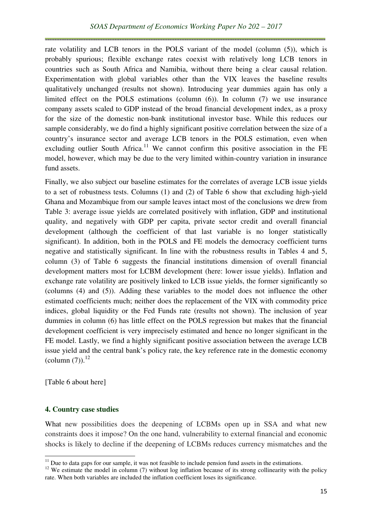rate volatility and LCB tenors in the POLS variant of the model (column (5)), which is probably spurious; flexible exchange rates coexist with relatively long LCB tenors in countries such as South Africa and Namibia, without there being a clear causal relation. Experimentation with global variables other than the VIX leaves the baseline results qualitatively unchanged (results not shown). Introducing year dummies again has only a limited effect on the POLS estimations (column (6)). In column (7) we use insurance company assets scaled to GDP instead of the broad financial development index, as a proxy for the size of the domestic non-bank institutional investor base. While this reduces our sample considerably, we do find a highly significant positive correlation between the size of a country's insurance sector and average LCB tenors in the POLS estimation, even when excluding outlier South Africa.<sup>11</sup> We cannot confirm this positive association in the FE model, however, which may be due to the very limited within-country variation in insurance fund assets.

Finally, we also subject our baseline estimates for the correlates of average LCB issue yields to a set of robustness tests. Columns (1) and (2) of Table 6 show that excluding high-yield Ghana and Mozambique from our sample leaves intact most of the conclusions we drew from Table 3: average issue yields are correlated positively with inflation, GDP and institutional quality, and negatively with GDP per capita, private sector credit and overall financial development (although the coefficient of that last variable is no longer statistically significant). In addition, both in the POLS and FE models the democracy coefficient turns negative and statistically significant. In line with the robustness results in Tables 4 and 5, column (3) of Table 6 suggests the financial institutions dimension of overall financial development matters most for LCBM development (here: lower issue yields). Inflation and exchange rate volatility are positively linked to LCB issue yields, the former significantly so (columns (4) and (5)). Adding these variables to the model does not influence the other estimated coefficients much; neither does the replacement of the VIX with commodity price indices, global liquidity or the Fed Funds rate (results not shown). The inclusion of year dummies in column (6) has little effect on the POLS regression but makes that the financial development coefficient is very imprecisely estimated and hence no longer significant in the FE model. Lastly, we find a highly significant positive association between the average LCB issue yield and the central bank's policy rate, the key reference rate in the domestic economy (column  $(7)$ ).<sup>12</sup>

[Table 6 about here]

l

#### **4. Country case studies**

What new possibilities does the deepening of LCBMs open up in SSA and what new constraints does it impose? On the one hand, vulnerability to external financial and economic shocks is likely to decline if the deepening of LCBMs reduces currency mismatches and the

 $11$  Due to data gaps for our sample, it was not feasible to include pension fund assets in the estimations.

 $12$  We estimate the model in column (7) without log inflation because of its strong collinearity with the policy rate. When both variables are included the inflation coefficient loses its significance.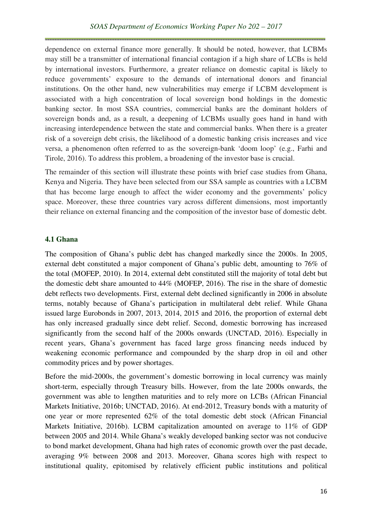dependence on external finance more generally. It should be noted, however, that LCBMs may still be a transmitter of international financial contagion if a high share of LCBs is held by international investors. Furthermore, a greater reliance on domestic capital is likely to reduce governments' exposure to the demands of international donors and financial institutions. On the other hand, new vulnerabilities may emerge if LCBM development is associated with a high concentration of local sovereign bond holdings in the domestic banking sector. In most SSA countries, commercial banks are the dominant holders of sovereign bonds and, as a result, a deepening of LCBMs usually goes hand in hand with increasing interdependence between the state and commercial banks. When there is a greater risk of a sovereign debt crisis, the likelihood of a domestic banking crisis increases and vice versa, a phenomenon often referred to as the sovereign-bank 'doom loop' (e.g., Farhi and Tirole, 2016). To address this problem, a broadening of the investor base is crucial.

The remainder of this section will illustrate these points with brief case studies from Ghana, Kenya and Nigeria. They have been selected from our SSA sample as countries with a LCBM that has become large enough to affect the wider economy and the governments' policy space. Moreover, these three countries vary across different dimensions, most importantly their reliance on external financing and the composition of the investor base of domestic debt.

### **4.1 Ghana**

The composition of Ghana's public debt has changed markedly since the 2000s. In 2005, external debt constituted a major component of Ghana's public debt, amounting to 76% of the total (MOFEP, 2010). In 2014, external debt constituted still the majority of total debt but the domestic debt share amounted to 44% (MOFEP, 2016). The rise in the share of domestic debt reflects two developments. First, external debt declined significantly in 2006 in absolute terms, notably because of Ghana's participation in multilateral debt relief. While Ghana issued large Eurobonds in 2007, 2013, 2014, 2015 and 2016, the proportion of external debt has only increased gradually since debt relief. Second, domestic borrowing has increased significantly from the second half of the 2000s onwards (UNCTAD, 2016). Especially in recent years, Ghana's government has faced large gross financing needs induced by weakening economic performance and compounded by the sharp drop in oil and other commodity prices and by power shortages.

Before the mid-2000s, the government's domestic borrowing in local currency was mainly short-term, especially through Treasury bills. However, from the late 2000s onwards, the government was able to lengthen maturities and to rely more on LCBs (African Financial Markets Initiative, 2016b; UNCTAD, 2016). At end-2012, Treasury bonds with a maturity of one year or more represented 62% of the total domestic debt stock (African Financial Markets Initiative, 2016b). LCBM capitalization amounted on average to 11% of GDP between 2005 and 2014. While Ghana's weakly developed banking sector was not conducive to bond market development, Ghana had high rates of economic growth over the past decade, averaging 9% between 2008 and 2013. Moreover, Ghana scores high with respect to institutional quality, epitomised by relatively efficient public institutions and political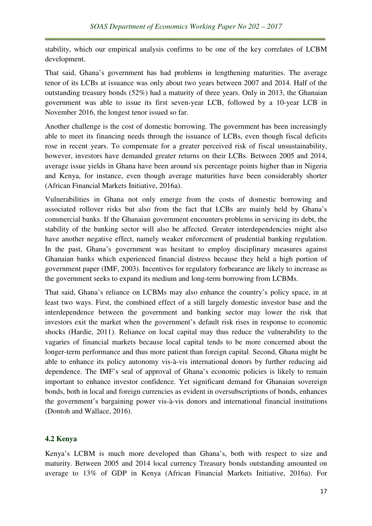stability, which our empirical analysis confirms to be one of the key correlates of LCBM development.

That said, Ghana's government has had problems in lengthening maturities. The average tenor of its LCBs at issuance was only about two years between 2007 and 2014. Half of the outstanding treasury bonds (52%) had a maturity of three years. Only in 2013, the Ghanaian government was able to issue its first seven-year LCB, followed by a 10-year LCB in November 2016, the longest tenor issued so far.

Another challenge is the cost of domestic borrowing. The government has been increasingly able to meet its financing needs through the issuance of LCBs, even though fiscal deficits rose in recent years. To compensate for a greater perceived risk of fiscal unsustainability, however, investors have demanded greater returns on their LCBs. Between 2005 and 2014, average issue yields in Ghana have been around six percentage points higher than in Nigeria and Kenya, for instance, even though average maturities have been considerably shorter (African Financial Markets Initiative, 2016a).

Vulnerabilities in Ghana not only emerge from the costs of domestic borrowing and associated rollover risks but also from the fact that LCBs are mainly held by Ghana's commercial banks. If the Ghanaian government encounters problems in servicing its debt, the stability of the banking sector will also be affected. Greater interdependencies might also have another negative effect, namely weaker enforcement of prudential banking regulation. In the past, Ghana's government was hesitant to employ disciplinary measures against Ghanaian banks which experienced financial distress because they held a high portion of government paper (IMF, 2003). Incentives for regulatory forbearance are likely to increase as the government seeks to expand its medium and long-term borrowing from LCBMs.

That said, Ghana's reliance on LCBMs may also enhance the country's policy space, in at least two ways. First, the combined effect of a still largely domestic investor base and the interdependence between the government and banking sector may lower the risk that investors exit the market when the government's default risk rises in response to economic shocks (Hardie, 2011). Reliance on local capital may thus reduce the vulnerability to the vagaries of financial markets because local capital tends to be more concerned about the longer-term performance and thus more patient than foreign capital. Second, Ghana might be able to enhance its policy autonomy vis-à-vis international donors by further reducing aid dependence. The IMF's seal of approval of Ghana's economic policies is likely to remain important to enhance investor confidence. Yet significant demand for Ghanaian sovereign bonds, both in local and foreign currencies as evident in oversubscriptions of bonds, enhances the government's bargaining power vis-à-vis donors and international financial institutions (Dontoh and Wallace, 2016).

# **4.2 Kenya**

Kenya's LCBM is much more developed than Ghana's, both with respect to size and maturity. Between 2005 and 2014 local currency Treasury bonds outstanding amounted on average to 13% of GDP in Kenya (African Financial Markets Initiative, 2016a). For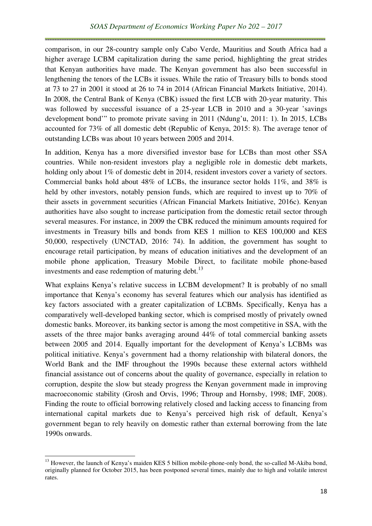comparison, in our 28-country sample only Cabo Verde, Mauritius and South Africa had a higher average LCBM capitalization during the same period, highlighting the great strides that Kenyan authorities have made. The Kenyan government has also been successful in lengthening the tenors of the LCBs it issues. While the ratio of Treasury bills to bonds stood at 73 to 27 in 2001 it stood at 26 to 74 in 2014 (African Financial Markets Initiative, 2014). In 2008, the Central Bank of Kenya (CBK) issued the first LCB with 20-year maturity. This was followed by successful issuance of a 25-year LCB in 2010 and a 30-year 'savings development bond'" to promote private saving in 2011 (Ndung'u, 2011: 1). In 2015, LCBs accounted for 73% of all domestic debt (Republic of Kenya, 2015: 8). The average tenor of outstanding LCBs was about 10 years between 2005 and 2014.

In addition, Kenya has a more diversified investor base for LCBs than most other SSA countries. While non-resident investors play a negligible role in domestic debt markets, holding only about 1% of domestic debt in 2014, resident investors cover a variety of sectors. Commercial banks hold about 48% of LCBs, the insurance sector holds 11%, and 38% is held by other investors, notably pension funds, which are required to invest up to 70% of their assets in government securities (African Financial Markets Initiative, 2016c). Kenyan authorities have also sought to increase participation from the domestic retail sector through several measures. For instance, in 2009 the CBK reduced the minimum amounts required for investments in Treasury bills and bonds from KES 1 million to KES 100,000 and KES 50,000, respectively (UNCTAD, 2016: 74). In addition, the government has sought to encourage retail participation, by means of education initiatives and the development of an mobile phone application, Treasury Mobile Direct, to facilitate mobile phone-based investments and ease redemption of maturing debt. $^{13}$ 

What explains Kenya's relative success in LCBM development? It is probably of no small importance that Kenya's economy has several features which our analysis has identified as key factors associated with a greater capitalization of LCBMs. Specifically, Kenya has a comparatively well-developed banking sector, which is comprised mostly of privately owned domestic banks. Moreover, its banking sector is among the most competitive in SSA, with the assets of the three major banks averaging around 44% of total commercial banking assets between 2005 and 2014. Equally important for the development of Kenya's LCBMs was political initiative. Kenya's government had a thorny relationship with bilateral donors, the World Bank and the IMF throughout the 1990s because these external actors withheld financial assistance out of concerns about the quality of governance, especially in relation to corruption, despite the slow but steady progress the Kenyan government made in improving macroeconomic stability (Grosh and Orvis, 1996; Throup and Hornsby, 1998; IMF, 2008). Finding the route to official borrowing relatively closed and lacking access to financing from international capital markets due to Kenya's perceived high risk of default, Kenya's government began to rely heavily on domestic rather than external borrowing from the late 1990s onwards.

l

<sup>&</sup>lt;sup>13</sup> However, the launch of Kenya's maiden KES 5 billion mobile-phone-only bond, the so-called M-Akiba bond, originally planned for October 2015, has been postponed several times, mainly due to high and volatile interest rates.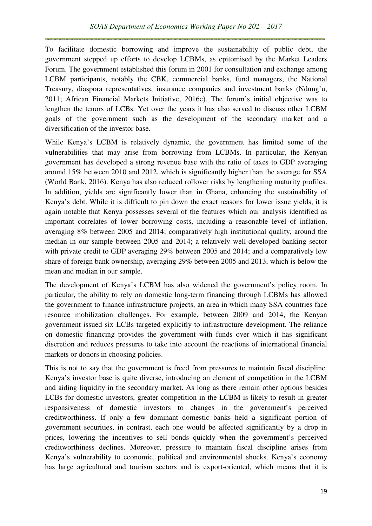To facilitate domestic borrowing and improve the sustainability of public debt, the government stepped up efforts to develop LCBMs, as epitomised by the Market Leaders Forum. The government established this forum in 2001 for consultation and exchange among LCBM participants, notably the CBK, commercial banks, fund managers, the National Treasury, diaspora representatives, insurance companies and investment banks (Ndung'u, 2011; African Financial Markets Initiative, 2016c). The forum's initial objective was to lengthen the tenors of LCBs. Yet over the years it has also served to discuss other LCBM goals of the government such as the development of the secondary market and a diversification of the investor base.

While Kenya's LCBM is relatively dynamic, the government has limited some of the vulnerabilities that may arise from borrowing from LCBMs. In particular, the Kenyan government has developed a strong revenue base with the ratio of taxes to GDP averaging around 15% between 2010 and 2012, which is significantly higher than the average for SSA (World Bank, 2016). Kenya has also reduced rollover risks by lengthening maturity profiles. In addition, yields are significantly lower than in Ghana, enhancing the sustainability of Kenya's debt. While it is difficult to pin down the exact reasons for lower issue yields, it is again notable that Kenya possesses several of the features which our analysis identified as important correlates of lower borrowing costs, including a reasonable level of inflation, averaging 8% between 2005 and 2014; comparatively high institutional quality, around the median in our sample between 2005 and 2014; a relatively well-developed banking sector with private credit to GDP averaging 29% between 2005 and 2014; and a comparatively low share of foreign bank ownership, averaging 29% between 2005 and 2013, which is below the mean and median in our sample.

The development of Kenya's LCBM has also widened the government's policy room. In particular, the ability to rely on domestic long-term financing through LCBMs has allowed the government to finance infrastructure projects, an area in which many SSA countries face resource mobilization challenges. For example, between 2009 and 2014, the Kenyan government issued six LCBs targeted explicitly to infrastructure development. The reliance on domestic financing provides the government with funds over which it has significant discretion and reduces pressures to take into account the reactions of international financial markets or donors in choosing policies.

This is not to say that the government is freed from pressures to maintain fiscal discipline. Kenya's investor base is quite diverse, introducing an element of competition in the LCBM and aiding liquidity in the secondary market. As long as there remain other options besides LCBs for domestic investors, greater competition in the LCBM is likely to result in greater responsiveness of domestic investors to changes in the government's perceived creditworthiness. If only a few dominant domestic banks held a significant portion of government securities, in contrast, each one would be affected significantly by a drop in prices, lowering the incentives to sell bonds quickly when the government's perceived creditworthiness declines. Moreover, pressure to maintain fiscal discipline arises from Kenya's vulnerability to economic, political and environmental shocks. Kenya's economy has large agricultural and tourism sectors and is export-oriented, which means that it is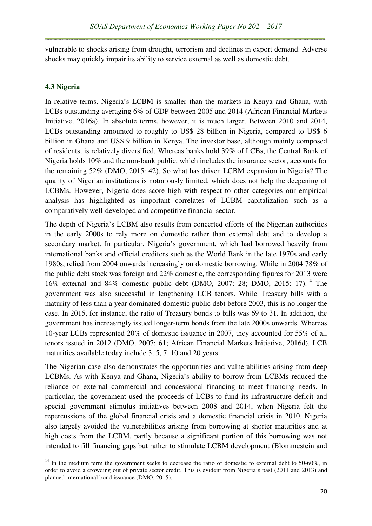vulnerable to shocks arising from drought, terrorism and declines in export demand. Adverse shocks may quickly impair its ability to service external as well as domestic debt.

### **4.3 Nigeria**

l

In relative terms, Nigeria's LCBM is smaller than the markets in Kenya and Ghana, with LCBs outstanding averaging 6% of GDP between 2005 and 2014 (African Financial Markets Initiative, 2016a). In absolute terms, however, it is much larger. Between 2010 and 2014, LCBs outstanding amounted to roughly to US\$ 28 billion in Nigeria, compared to US\$ 6 billion in Ghana and US\$ 9 billion in Kenya. The investor base, although mainly composed of residents, is relatively diversified. Whereas banks hold 39% of LCBs, the Central Bank of Nigeria holds 10% and the non-bank public, which includes the insurance sector, accounts for the remaining 52% (DMO, 2015: 42). So what has driven LCBM expansion in Nigeria? The quality of Nigerian institutions is notoriously limited, which does not help the deepening of LCBMs. However, Nigeria does score high with respect to other categories our empirical analysis has highlighted as important correlates of LCBM capitalization such as a comparatively well-developed and competitive financial sector.

The depth of Nigeria's LCBM also results from concerted efforts of the Nigerian authorities in the early 2000s to rely more on domestic rather than external debt and to develop a secondary market. In particular, Nigeria's government, which had borrowed heavily from international banks and official creditors such as the World Bank in the late 1970s and early 1980s, relied from 2004 onwards increasingly on domestic borrowing. While in 2004 78% of the public debt stock was foreign and 22% domestic, the corresponding figures for 2013 were 16% external and 84% domestic public debt (DMO, 2007: 28; DMO, 2015: 17).<sup>14</sup> The government was also successful in lengthening LCB tenors. While Treasury bills with a maturity of less than a year dominated domestic public debt before 2003, this is no longer the case. In 2015, for instance, the ratio of Treasury bonds to bills was 69 to 31. In addition, the government has increasingly issued longer-term bonds from the late 2000s onwards. Whereas 10-year LCBs represented 20% of domestic issuance in 2007, they accounted for 55% of all tenors issued in 2012 (DMO, 2007: 61; African Financial Markets Initiative, 2016d). LCB maturities available today include 3, 5, 7, 10 and 20 years.

The Nigerian case also demonstrates the opportunities and vulnerabilities arising from deep LCBMs. As with Kenya and Ghana, Nigeria's ability to borrow from LCBMs reduced the reliance on external commercial and concessional financing to meet financing needs. In particular, the government used the proceeds of LCBs to fund its infrastructure deficit and special government stimulus initiatives between 2008 and 2014, when Nigeria felt the repercussions of the global financial crisis and a domestic financial crisis in 2010. Nigeria also largely avoided the vulnerabilities arising from borrowing at shorter maturities and at high costs from the LCBM, partly because a significant portion of this borrowing was not intended to fill financing gaps but rather to stimulate LCBM development (Blommestein and

 $14$  In the medium term the government seeks to decrease the ratio of domestic to external debt to 50-60%, in order to avoid a crowding out of private sector credit. This is evident from Nigeria's past (2011 and 2013) and planned international bond issuance (DMO, 2015).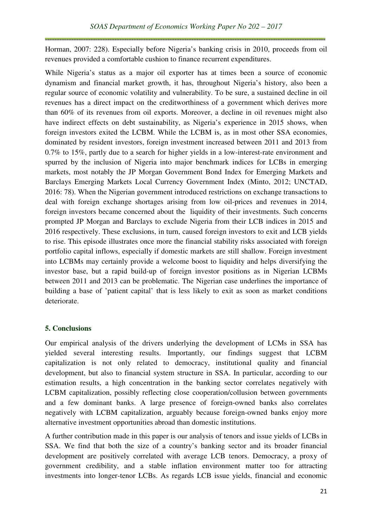Horman, 2007: 228). Especially before Nigeria's banking crisis in 2010, proceeds from oil revenues provided a comfortable cushion to finance recurrent expenditures.

While Nigeria's status as a major oil exporter has at times been a source of economic dynamism and financial market growth, it has, throughout Nigeria's history, also been a regular source of economic volatility and vulnerability. To be sure, a sustained decline in oil revenues has a direct impact on the creditworthiness of a government which derives more than 60% of its revenues from oil exports. Moreover, a decline in oil revenues might also have indirect effects on debt sustainability, as Nigeria's experience in 2015 shows, when foreign investors exited the LCBM. While the LCBM is, as in most other SSA economies, dominated by resident investors, foreign investment increased between 2011 and 2013 from 0.7% to 15%, partly due to a search for higher yields in a low-interest-rate environment and spurred by the inclusion of Nigeria into major benchmark indices for LCBs in emerging markets, most notably the JP Morgan Government Bond Index for Emerging Markets and Barclays Emerging Markets Local Currency Government Index (Minto, 2012; UNCTAD, 2016: 78). When the Nigerian government introduced restrictions on exchange transactions to deal with foreign exchange shortages arising from low oil-prices and revenues in 2014, foreign investors became concerned about the liquidity of their investments. Such concerns prompted JP Morgan and Barclays to exclude Nigeria from their LCB indices in 2015 and 2016 respectively. These exclusions, in turn, caused foreign investors to exit and LCB yields to rise. This episode illustrates once more the financial stability risks associated with foreign portfolio capital inflows, especially if domestic markets are still shallow. Foreign investment into LCBMs may certainly provide a welcome boost to liquidity and helps diversifying the investor base, but a rapid build-up of foreign investor positions as in Nigerian LCBMs between 2011 and 2013 can be problematic. The Nigerian case underlines the importance of building a base of 'patient capital' that is less likely to exit as soon as market conditions deteriorate.

# **5. Conclusions**

Our empirical analysis of the drivers underlying the development of LCMs in SSA has yielded several interesting results. Importantly, our findings suggest that LCBM capitalization is not only related to democracy, institutional quality and financial development, but also to financial system structure in SSA. In particular, according to our estimation results, a high concentration in the banking sector correlates negatively with LCBM capitalization, possibly reflecting close cooperation/collusion between governments and a few dominant banks. A large presence of foreign-owned banks also correlates negatively with LCBM capitalization, arguably because foreign-owned banks enjoy more alternative investment opportunities abroad than domestic institutions.

A further contribution made in this paper is our analysis of tenors and issue yields of LCBs in SSA. We find that both the size of a country's banking sector and its broader financial development are positively correlated with average LCB tenors. Democracy, a proxy of government credibility, and a stable inflation environment matter too for attracting investments into longer-tenor LCBs. As regards LCB issue yields, financial and economic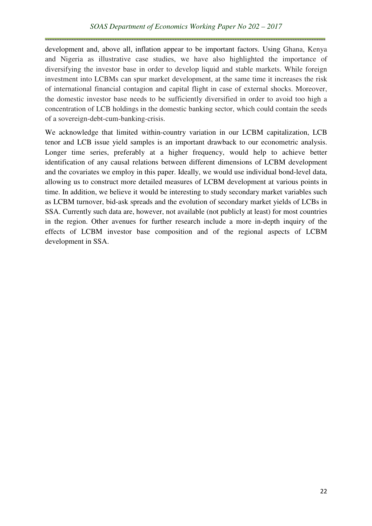development and, above all, inflation appear to be important factors. Using Ghana, Kenya and Nigeria as illustrative case studies, we have also highlighted the importance of diversifying the investor base in order to develop liquid and stable markets. While foreign investment into LCBMs can spur market development, at the same time it increases the risk of international financial contagion and capital flight in case of external shocks. Moreover, the domestic investor base needs to be sufficiently diversified in order to avoid too high a concentration of LCB holdings in the domestic banking sector, which could contain the seeds of a sovereign-debt-cum-banking-crisis.

We acknowledge that limited within-country variation in our LCBM capitalization, LCB tenor and LCB issue yield samples is an important drawback to our econometric analysis. Longer time series, preferably at a higher frequency, would help to achieve better identification of any causal relations between different dimensions of LCBM development and the covariates we employ in this paper. Ideally, we would use individual bond-level data, allowing us to construct more detailed measures of LCBM development at various points in time. In addition, we believe it would be interesting to study secondary market variables such as LCBM turnover, bid-ask spreads and the evolution of secondary market yields of LCBs in SSA. Currently such data are, however, not available (not publicly at least) for most countries in the region. Other avenues for further research include a more in-depth inquiry of the effects of LCBM investor base composition and of the regional aspects of LCBM development in SSA.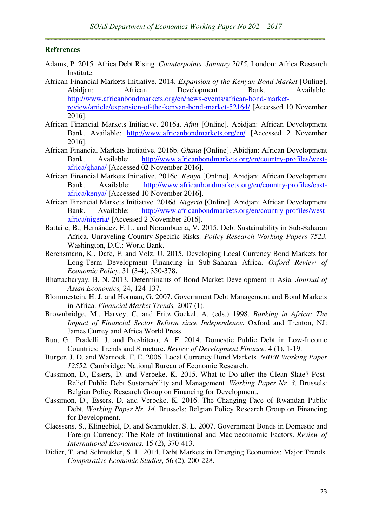#### **References**

- Adams, P. 2015. Africa Debt Rising*. Counterpoints, January 2015.* London: Africa Research Institute.
- African Financial Markets Initiative. 2014. *Expansion of the Kenyan Bond Market* [Online]. Abidjan: African Development Bank. Available: http://www.africanbondmarkets.org/en/news-events/african-bond-marketreview/article/expansion-of-the-kenyan-bond-market-52164/ [Accessed 10 November 2016].
- African Financial Markets Initiative. 2016a. *Afmi* [Online]. Abidjan: African Development Bank. Available: http://www.africanbondmarkets.org/en/ [Accessed 2 November 2016].
- African Financial Markets Initiative. 2016b. *Ghana* [Online]. Abidjan: African Development Bank. Available: http://www.africanbondmarkets.org/en/country-profiles/westafrica/ghana/ [Accessed 02 November 2016].
- African Financial Markets Initiative. 2016c. *Kenya* [Online]. Abidjan: African Development Bank. Available: http://www.africanbondmarkets.org/en/country-profiles/eastafrica/kenya/ [Accessed 10 November 2016].
- African Financial Markets Initiative. 2016d. *Nigeria* [Online]. Abidjan: African Development Bank. Available: http://www.africanbondmarkets.org/en/country-profiles/westafrica/nigeria/ [Accessed 2 November 2016].
- Battaile, B., Hernández, F. L. and Norambuena, V. 2015. Debt Sustainability in Sub-Saharan Africa. Unraveling Country-Specific Risks*. Policy Research Working Papers 7523.*  Washington, D.C.: World Bank.
- Berensmann, K., Dafe, F. and Volz, U. 2015. Developing Local Currency Bond Markets for Long-Term Development Financing in Sub-Saharan Africa. *Oxford Review of Economic Policy,* 31 (3-4), 350-378.
- Bhattacharyay, B. N. 2013. Determinants of Bond Market Development in Asia. *Journal of Asian Economics,* 24, 124-137.
- Blommestein, H. J. and Horman, G. 2007. Government Debt Management and Bond Markets in Africa. *Financial Market Trends,* 2007 (1).
- Brownbridge, M., Harvey, C. and Fritz Gockel, A. (eds.) 1998. *Banking in Africa: The Impact of Financial Sector Reform since Independence.* Oxford and Trenton, NJ: James Currey and Africa World Press.
- Bua, G., Pradelli, J. and Presbitero, A. F. 2014. Domestic Public Debt in Low-Income Countries: Trends and Structure. *Review of Development Finance,* 4 (1), 1-19.
- Burger, J. D. and Warnock, F. E. 2006. Local Currency Bond Markets*. NBER Working Paper 12552.* Cambridge: National Bureau of Economic Research.
- Cassimon, D., Essers, D. and Verbeke, K. 2015. What to Do after the Clean Slate? Post-Relief Public Debt Sustainability and Management*. Working Paper Nr. 3.* Brussels: Belgian Policy Research Group on Financing for Development.
- Cassimon, D., Essers, D. and Verbeke, K. 2016. The Changing Face of Rwandan Public Debt*. Working Paper Nr. 14.* Brussels: Belgian Policy Research Group on Financing for Development.
- Claessens, S., Klingebiel, D. and Schmukler, S. L. 2007. Government Bonds in Domestic and Foreign Currency: The Role of Institutional and Macroeconomic Factors. *Review of International Economics,* 15 (2), 370-413.
- Didier, T. and Schmukler, S. L. 2014. Debt Markets in Emerging Economies: Major Trends. *Comparative Economic Studies,* 56 (2), 200-228.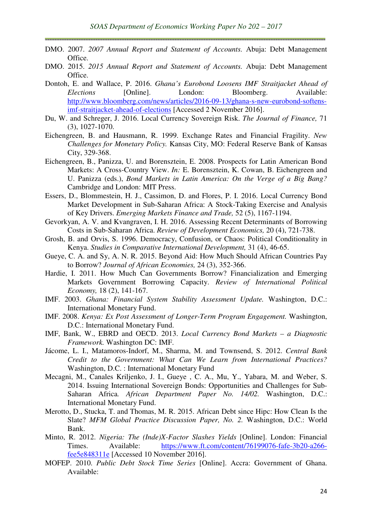- DMO. 2007. *2007 Annual Report and Statement of Accounts.* Abuja: Debt Management Office.
- DMO. 2015. *2015 Annual Report and Statement of Accounts.* Abuja: Debt Management Office.
- Dontoh, E. and Wallace, P. 2016. *Ghana's Eurobond Loosens IMF Straitjacket Ahead of Elections* [Online]. London: Bloomberg. Available: http://www.bloomberg.com/news/articles/2016-09-13/ghana-s-new-eurobond-softensimf-straitjacket-ahead-of-elections [Accessed 2 November 2016].
- Du, W. and Schreger, J. 2016. Local Currency Sovereign Risk. *The Journal of Finance,* 71 (3), 1027-1070.
- Eichengreen, B. and Hausmann, R. 1999. Exchange Rates and Financial Fragility. *New Challenges for Monetary Policy.* Kansas City, MO: Federal Reserve Bank of Kansas City, 329-368.
- Eichengreen, B., Panizza, U. and Borensztein, E. 2008. Prospects for Latin American Bond Markets: A Cross-Country View. *In:* E. Borensztein, K. Cowan, B. Eichengreen and U. Panizza (eds.), *Bond Markets in Latin America: On the Verge of a Big Bang?* Cambridge and London: MIT Press.
- Essers, D., Blommestein, H. J., Cassimon, D. and Flores, P. I. 2016. Local Currency Bond Market Development in Sub-Saharan Africa: A Stock-Taking Exercise and Analysis of Key Drivers. *Emerging Markets Finance and Trade,* 52 (5), 1167-1194.
- Gevorkyan, A. V. and Kvangraven, I. H. 2016. Assessing Recent Determinants of Borrowing Costs in Sub-Saharan Africa. *Review of Development Economics,* 20 (4), 721-738.
- Grosh, B. and Orvis, S. 1996. Democracy, Confusion, or Chaos: Political Conditionality in Kenya. *Studies in Comparative International Development,* 31 (4), 46-65.
- Gueye, C. A. and Sy, A. N. R. 2015. Beyond Aid: How Much Should African Countries Pay to Borrow? *Journal of African Economies,* 24 (3), 352-366.
- Hardie, I. 2011. How Much Can Governments Borrow? Financialization and Emerging Markets Government Borrowing Capacity. *Review of International Political Economy,* 18 (2), 141-167.
- IMF. 2003. *Ghana: Financial System Stability Assessment Update.* Washington, D.C.: International Monetary Fund.
- IMF. 2008. *Kenya: Ex Post Assessment of Longer-Term Program Engagement.* Washington, D.C.: International Monetary Fund.
- IMF, Bank, W., EBRD and OECD. 2013. *Local Currency Bond Markets a Diagnostic Framework.* Washington DC: IMF.
- Jácome, L. I., Matamoros-Indorf, M., Sharma, M. and Townsend, S. 2012. *Central Bank Credit to the Government: What Can We Learn from International Practices?*  Washington, D.C. : International Monetary Fund
- Mecagni, M., Canales Kriljenko, J. I., Gueye , C. A., Mu, Y., Yabara, M. and Weber, S. 2014. Issuing International Sovereign Bonds: Opportunities and Challenges for Sub-Saharan Africa*. African Department Paper No. 14/02.* Washington, D.C.: International Monetary Fund.
- Merotto, D., Stucka, T. and Thomas, M. R. 2015. African Debt since Hipc: How Clean Is the Slate? MFM Global Practice Discussion Paper, No. 2. Washington, D.C.: World Bank.
- Minto, R. 2012. *Nigeria: The (Inde)X-Factor Slashes Yields* [Online]. London: Financial Times. Available: https://www.ft.com/content/76199076-fafe-3b20-a266 fee5e848311e [Accessed 10 November 2016].
- MOFEP. 2010. *Public Debt Stock Time Series* [Online]. Accra: Government of Ghana. Available: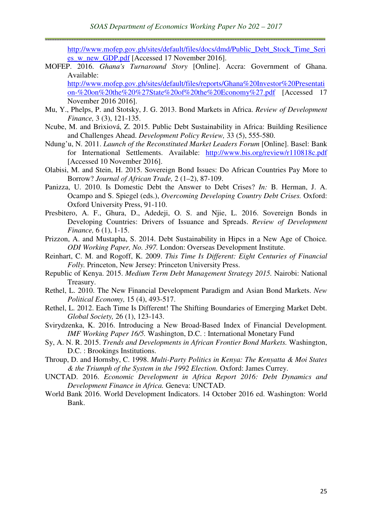http://www.mofep.gov.gh/sites/default/files/docs/dmd/Public\_Debt\_Stock\_Time\_Seri es\_w\_new\_GDP.pdf [Accessed 17 November 2016].

MOFEP. 2016. *Ghana's Turnaround Story* [Online]. Accra: Government of Ghana. Available: http://www.mofep.gov.gh/sites/default/files/reports/Ghana%20Investor%20Presentati

on-%20on%20the%20%27State%20of%20the%20Economy%27.pdf [Accessed 17 November 2016 2016].

- Mu, Y., Phelps, P. and Stotsky, J. G. 2013. Bond Markets in Africa. *Review of Development Finance,* 3 (3), 121-135.
- Ncube, M. and Brixiová, Z. 2015. Public Debt Sustainability in Africa: Building Resilience and Challenges Ahead. *Development Policy Review,* 33 (5), 555-580.
- Ndung'u, N. 2011. *Launch of the Reconstituted Market Leaders Forum* [Online]. Basel: Bank for International Settlements. Available: http://www.bis.org/review/r110818c.pdf [Accessed 10 November 2016].
- Olabisi, M. and Stein, H. 2015. Sovereign Bond Issues: Do African Countries Pay More to Borrow? *Journal of African Trade,* 2 (1–2), 87-109.
- Panizza, U. 2010. Is Domestic Debt the Answer to Debt Crises? *In:* B. Herman, J. A. Ocampo and S. Spiegel (eds.), *Overcoming Developing Country Debt Crises.* Oxford: Oxford University Press, 91-110.
- Presbitero, A. F., Ghura, D., Adedeji, O. S. and Njie, L. 2016. Sovereign Bonds in Developing Countries: Drivers of Issuance and Spreads. *Review of Development Finance,* 6 (1), 1-15.
- Prizzon, A. and Mustapha, S. 2014. Debt Sustainability in Hipcs in a New Age of Choice*. ODI Working Paper, No. 397.* London: Overseas Development Institute.
- Reinhart, C. M. and Rogoff, K. 2009. *This Time Is Different: Eight Centuries of Financial Folly.* Princeton, New Jersey: Princeton University Press.
- Republic of Kenya. 2015. *Medium Term Debt Management Strategy 2015.* Nairobi: National Treasury.
- Rethel, L. 2010. The New Financial Development Paradigm and Asian Bond Markets. *New Political Economy,* 15 (4), 493-517.
- Rethel, L. 2012. Each Time Is Different! The Shifting Boundaries of Emerging Market Debt. *Global Society,* 26 (1), 123-143.
- Svirydzenka, K. 2016. Introducing a New Broad-Based Index of Financial Development*. IMF Working Paper 16/5.* Washington, D.C. : International Monetary Fund
- Sy, A. N. R. 2015. *Trends and Developments in African Frontier Bond Markets.* Washington, D.C. : Brookings Institutions.
- Throup, D. and Hornsby, C. 1998. *Multi-Party Politics in Kenya: The Kenyatta & Moi States & the Triumph of the System in the 1992 Election.* Oxford: James Currey.
- UNCTAD. 2016. *Economic Development in Africa Report 2016: Debt Dynamics and Development Finance in Africa.* Geneva: UNCTAD.
- World Bank 2016. World Development Indicators. 14 October 2016 ed. Washington: World Bank.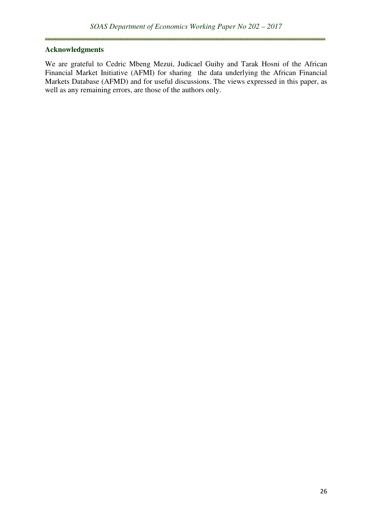#### **Acknowledgments**

We are grateful to Cedric Mbeng Mezui, Judicael Guihy and Tarak Hosni of the African Financial Market Initiative (AFMI) for sharing the data underlying the African Financial Markets Database (AFMD) and for useful discussions. The views expressed in this paper, as well as any remaining errors, are those of the authors only.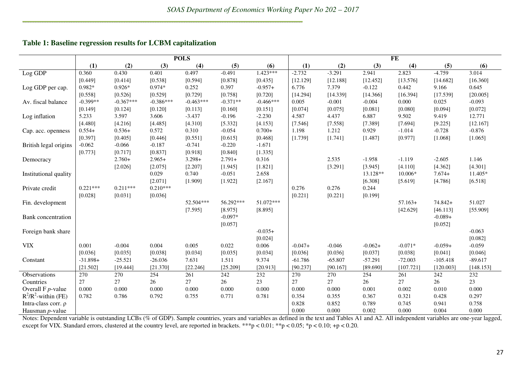#### **Table 1: Baseline regression results for LCBM capitalization**

|                             |            |             |             | <b>POLS</b> |            |             | $\overline{\mathbf{FE}}$ |           |           |           |            |           |  |  |  |
|-----------------------------|------------|-------------|-------------|-------------|------------|-------------|--------------------------|-----------|-----------|-----------|------------|-----------|--|--|--|
|                             | (1)        | (2)         | (3)         | (4)         | (5)        | (6)         | (1)                      | (2)       | (3)       | (4)       | (5)        | (6)       |  |  |  |
| Log GDP                     | 0.360      | 0.430       | 0.401       | 0.497       | $-0.491$   | 1.423***    | $-2.732$                 | $-3.291$  | 2.941     | 2.823     | $-4.759$   | 3.014     |  |  |  |
|                             | [0.449]    | [0.414]     | [0.538]     | [0.594]     | [0.878]    | [0.435]     | [12.129]                 | [12.188]  | [12.452]  | [13.576]  | [14.682]   | [16.360]  |  |  |  |
| Log GDP per cap.            | $0.982*$   | $0.926*$    | $0.974*$    | 0.252       | 0.397      | $-0.957+$   | 6.776                    | 7.379     | $-0.122$  | 0.442     | 9.166      | 0.645     |  |  |  |
|                             | [0.558]    | [0.526]     | [0.529]     | [0.729]     | [0.758]    | [0.720]     | [14.294]                 | [14.339]  | [14.366]  | [16.394]  | [17.539]   | [20.005]  |  |  |  |
| Av. fiscal balance          | $-0.399**$ | $-0.367***$ | $-0.386***$ | $-0.463***$ | $-0.371**$ | $-0.466***$ | 0.005                    | $-0.001$  | $-0.004$  | 0.000     | 0.025      | $-0.093$  |  |  |  |
|                             | [0.149]    | [0.124]     | [0.120]     | [0.113]     | [0.160]    | [0.151]     | [0.074]                  | [0.075]   | [0.081]   | [0.080]   | [0.094]    | [0.072]   |  |  |  |
| Log inflation               | 5.233      | 3.597       | 3.606       | $-3.437$    | $-0.196$   | $-2.230$    | 4.587                    | 4.437     | 6.887     | 9.502     | 9.419      | 12.771    |  |  |  |
|                             | [4.480]    | [4.216]     | [4.485]     | [4.310]     | [5.332]    | [4.153]     | [7.546]                  | [7.558]   | [7.389]   | [7.694]   | [9.225]    | [12.167]  |  |  |  |
| Cap. acc. openness          | $0.554+$   | $0.536+$    | 0.572       | 0.310       | $-0.054$   | $0.700+$    | 1.198                    | 1.212     | 0.929     | $-1.014$  | $-0.728$   | $-0.876$  |  |  |  |
|                             | [0.397]    | [0.405]     | [0.446]     | [0.551]     | [0.615]    | [0.468]     | [1.739]                  | [1.741]   | [1.487]   | [0.977]   | [1.068]    | [1.065]   |  |  |  |
| British legal origins       | $-0.062$   | $-0.066$    | $-0.187$    | $-0.741$    | $-0.220$   | $-1.671$    |                          |           |           |           |            |           |  |  |  |
|                             | [0.773]    | [0.717]     | [0.837]     | [0.918]     | [0.840]    | [1.335]     |                          |           |           |           |            |           |  |  |  |
| Democracy                   |            | $2.760+$    | $2.965+$    | $3.298 +$   | $2.791+$   | 0.316       |                          | 2.535     | $-1.958$  | $-1.119$  | $-2.605$   | 1.146     |  |  |  |
|                             |            | [2.026]     | [2.075]     | [2.207]     | [1.945]    | [1.821]     |                          | [3.291]   | [3.945]   | [4.110]   | [4.362]    | [4.301]   |  |  |  |
| Institutional quality       |            |             | 0.029       | 0.740       | $-0.051$   | 2.658       |                          |           | 13.128**  | 10.006*   | $7.674+$   | 11.405*   |  |  |  |
|                             |            |             | [2.071]     | [1.909]     | [1.922]    | [2.167]     |                          |           | [6.308]   | [5.619]   | [4.786]    | [6.518]   |  |  |  |
| Private credit              | $0.221***$ | $0.211***$  | $0.210***$  |             |            |             | 0.276                    | 0.276     | 0.244     |           |            |           |  |  |  |
|                             | [0.028]    | [0.031]     | [0.036]     |             |            |             | [0.221]                  | [0.221]   | [0.199]   |           |            |           |  |  |  |
| Fin. development            |            |             |             | 52.504***   | 56.292***  | 51.072***   |                          |           |           | $57.163+$ | $74.842+$  | 51.027    |  |  |  |
|                             |            |             |             | [7.595]     | [8.975]    | [8.895]     |                          |           |           | [42.629]  | [46.113]   | [55.909]  |  |  |  |
| Bank concentration          |            |             |             |             | $-0.097*$  |             |                          |           |           |           | $-0.089+$  |           |  |  |  |
|                             |            |             |             |             | [0.057]    |             |                          |           |           |           | [0.052]    |           |  |  |  |
| Foreign bank share          |            |             |             |             |            | $-0.035+$   |                          |           |           |           |            | $-0.063$  |  |  |  |
|                             |            |             |             |             |            | [0.024]     |                          |           |           |           |            | [0.082]   |  |  |  |
| <b>VIX</b>                  | 0.001      | $-0.004$    | 0.004       | 0.005       | 0.022      | 0.006       | $-0.047+$                | $-0.046$  | $-0.062+$ | $-0.071*$ | $-0.059+$  | $-0.059$  |  |  |  |
|                             | [0.036]    | [0.035]     | [0.038]     | [0.034]     | [0.035]    | [0.034]     | [0.036]                  | [0.036]   | [0.037]   | [0.038]   | [0.041]    | [0.046]   |  |  |  |
| Constant                    | $-31.898+$ | $-25.521$   | $-26.036$   | 7.631       | 1.511      | 9.374       | $-61.786$                | $-65.807$ | $-57.291$ | $-72.003$ | $-105.418$ | $-89.617$ |  |  |  |
|                             | [21.502]   | [19.444]    | [21.370]    | [22.246]    | [25.209]   | [20.913]    | [90.237]                 | [90.167]  | [89.690]  | [107.721] | [120.003]  | [148.153] |  |  |  |
| Observations                | 270        | 270         | 254         | 261         | 242        | 232         | 270                      | 270       | 254       | 261       | 242        | 232       |  |  |  |
| Countries                   | 27         | 27          | 26          | 27          | 26         | 23          | $27\,$                   | $27\,$    | 26        | 27        | 26         | 23        |  |  |  |
| Overall $F$ <i>p</i> -value | 0.000      | 0.000       | 0.000       | 0.000       | 0.000      | 0.000       | 0.000                    | 0.000     | 0.001     | 0.002     | 0.010      | 0.000     |  |  |  |
| $R^2/R^2$ -within (FE)      | 0.782      | 0.786       | 0.792       | 0.755       | 0.771      | 0.781       | 0.354                    | 0.355     | 0.367     | 0.321     | 0.428      | 0.297     |  |  |  |
| Intra-class corr. ρ         |            |             |             |             |            |             | 0.828                    | 0.852     | 0.789     | 0.745     | 0.941      | 0.758     |  |  |  |
| Hausman <i>p</i> -value     |            |             |             |             |            |             | 0.000                    | 0.000     | 0.002     | 0.000     | 0.004      | 0.000     |  |  |  |

Notes: Dependent variable is outstanding LCBs (% of GDP). Sample countries, years and variables as defined in the text and Tables A1 and A2. All independent variables are one-year lagged,<br>except for VIX. Standard errors, c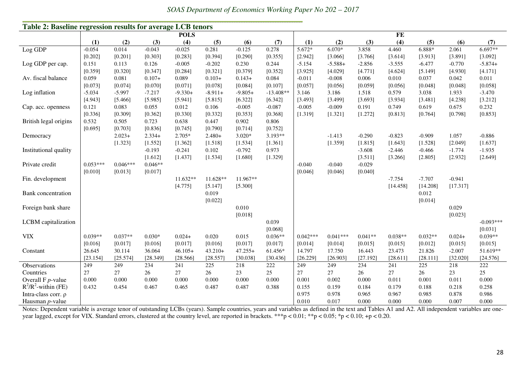| Table 2: Baseline regression results for average LCB tenors |            |            |           |             |           |            |             |            |            |           |           |           |          |             |  |
|-------------------------------------------------------------|------------|------------|-----------|-------------|-----------|------------|-------------|------------|------------|-----------|-----------|-----------|----------|-------------|--|
|                                                             |            |            |           | <b>POLS</b> |           |            |             | FE         |            |           |           |           |          |             |  |
|                                                             | (1)        | (2)        | (3)       | (4)         | (5)       | (6)        | (7)         | (1)        | (2)        | (3)       | (4)       | (5)       | (6)      | (7)         |  |
| Log GDP                                                     | $-0.054$   | 0.014      | $-0.043$  | $-0.025$    | 0.281     | $-0.125$   | 0.278       | 5.672*     | $6.070*$   | 3.858     | 4.460     | 6.888*    | 2.061    | $6.697**$   |  |
|                                                             | [0.202]    | [0.201]    | [0.303]   | [0.283]     | [0.394]   | [0.290]    | [0.355]     | [2.942]    | [3.066]    | [3.766]   | [3.614]   | [3.913]   | [3.891]  | [3.092]     |  |
| Log GDP per cap.                                            | 0.151      | 0.113      | 0.126     | $-0.005$    | $-0.202$  | 0.230      | 0.244       | $-5.154$   | $-5.588+$  | $-2.856$  | $-3.555$  | $-6.477$  | $-0.770$ | $-5.874+$   |  |
|                                                             | [0.359]    | [0.320]    | [0.347]   | [0.284]     | [0.321]   | [0.379]    | [0.352]     | [3.925]    | [4.029]    | [4.771]   | [4.624]   | [5.149]   | [4.930]  | [4.171]     |  |
| Av. fiscal balance                                          | 0.059      | 0.081      | $0.107+$  | 0.089       | $0.103+$  | $0.143+$   | 0.084       | $-0.011$   | $-0.008$   | 0.006     | 0.010     | 0.037     | 0.042    | 0.011       |  |
|                                                             | [0.073]    | [0.074]    | [0.070]   | [0.071]     | [0.078]   | [0.084]    | [0.107]     | [0.057]    | [0.056]    | [0.059]   | [0.056]   | [0.048]   | [0.048]  | [0.058]     |  |
| Log inflation                                               | $-5.034$   | $-5.997$   | $-7.217$  | $-9.330+$   | $-8.911+$ | $-9.805+$  | $-13.408**$ | 3.146      | 3.186      | 1.518     | 0.579     | 3.038     | 1.933    | $-3.470$    |  |
|                                                             | [4.943]    | [5.466]    | [5.985]   | [5.941]     | [5.815]   | [6.322]    | [6.342]     | [3.493]    | [3.499]    | [3.693]   | [3.934]   | [3.481]   | [4.238]  | [3.212]     |  |
| Cap. acc. openness                                          | 0.121      | 0.083      | 0.055     | 0.012       | 0.106     | $-0.005$   | $-0.087$    | $-0.005$   | $-0.009$   | 0.191     | 0.749     | 0.619     | 0.675    | 0.232       |  |
|                                                             | [0.336]    | [0.309]    | [0.362]   | [0.330]     | [0.332]   | [0.353]    | [0.368]     | [1.319]    | [1.321]    | [1.272]   | [0.813]   | [0.764]   | [0.798]  | [0.853]     |  |
| British legal origins                                       | 0.532      | 0.505      | 0.723     | 0.638       | 0.447     | 0.902      | 0.806       |            |            |           |           |           |          |             |  |
|                                                             | [0.695]    | [0.703]    | [0.836]   | [0.745]     | [0.790]   | [0.714]    | [0.752]     |            |            |           |           |           |          |             |  |
| Democracy                                                   |            | $2.023+$   | $2.334+$  | $2.705*$    | $2.480+$  | $3.020*$   | $3.193**$   |            | $-1.413$   | $-0.290$  | $-0.823$  | $-0.909$  | 1.057    | $-0.886$    |  |
|                                                             |            | [1.323]    | [1.552]   | [1.362]     | [1.518]   | [1.534]    | [1.361]     |            | [1.359]    | [1.815]   | [1.643]   | [1.528]   | [2.049]  | [1.637]     |  |
| Institutional quality                                       |            |            | $-0.193$  | $-0.241$    | 0.102     | $-0.792$   | 0.973       |            |            | $-3.608$  | $-2.446$  | $-0.466$  | $-1.774$ | $-1.935$    |  |
|                                                             |            |            | [1.612]   | [1.437]     | [1.534]   | [1.680]    | [1.329]     |            |            | [3.511]   | [3.266]   | [2.805]   | [2.932]  | [2.649]     |  |
| Private credit                                              | $0.053***$ | $0.046***$ | $0.046**$ |             |           |            |             | $-0.040$   | $-0.040$   | $-0.029$  |           |           |          |             |  |
|                                                             | [0.010]    | [0.013]    | [0.017]   |             |           |            |             | [0.046]    | [0.046]    | [0.040]   |           |           |          |             |  |
| Fin. development                                            |            |            |           | $11.632**$  | 11.628**  | $11.967**$ |             |            |            |           | $-7.754$  | $-7.707$  | $-0.941$ |             |  |
|                                                             |            |            |           | [4.775]     | [5.147]   | [5.300]    |             |            |            |           | [14.458]  | [14.208]  | [17.317] |             |  |
| Bank concentration                                          |            |            |           |             | 0.019     |            |             |            |            |           |           | 0.012     |          |             |  |
|                                                             |            |            |           |             | [0.022]   |            |             |            |            |           |           | [0.014]   |          |             |  |
| Foreign bank share                                          |            |            |           |             |           | 0.010      |             |            |            |           |           |           | 0.029    |             |  |
|                                                             |            |            |           |             |           | [0.018]    |             |            |            |           |           |           | [0.023]  |             |  |
| LCBM capitalization                                         |            |            |           |             |           |            | 0.039       |            |            |           |           |           |          | $-0.093***$ |  |
|                                                             |            |            |           |             |           |            | [0.068]     |            |            |           |           |           |          | [0.031]     |  |
| <b>VIX</b>                                                  | $0.039**$  | $0.037**$  | $0.030*$  | $0.024+$    | 0.020     | 0.015      | $0.036**$   | $0.042***$ | $0.041***$ | $0.041**$ | $0.038**$ | $0.032**$ | $0.024+$ | $0.039**$   |  |
|                                                             | [0.016]    | [0.017]    | [0.016]   | [0.017]     | [0.016]   | [0.017]    | [0.017]     | [0.014]    | [0.014]    | [0.015]   | [0.015]   | [0.012]   | [0.015]  | [0.015]     |  |
| Constant                                                    | 26.645     | 30.114     | 36.064    | $46.105+$   | $43.210+$ | $47.255+$  | 61.456*     | 14.797     | 17.750     | 16.443    | 23.473    | 21.826    | $-2.007$ | 51.619**    |  |
|                                                             | [23.154]   | [25.574]   | [28.349]  | [28.566]    | [28.557]  | [30.038]   | [30.436]    | [26.229]   | [26.903]   | [27.192]  | [28.611]  | [28.111]  | [32.020] | [24.576]    |  |
| Observations                                                | 249        | 249        | 234       | 241         | 225       | 218        | 222         | 249        | 249        | 234       | 241       | 225       | 218      | 222         |  |
| Countries                                                   | $27\,$     | 27         | 26        | 27          | 26        | 23         | 25          | $27\,$     | 27         | 26        | $27\,$    | 26        | 23       | 25          |  |
| Overall $F$ <i>p</i> -value                                 | 0.000      | 0.000      | 0.000     | 0.000       | 0.000     | 0.000      | 0.000       | 0.001      | 0.002      | 0.000     | 0.011     | 0.001     | 0.011    | 0.000       |  |
| $R^2/R^2$ -within (FE)                                      | 0.432      | 0.454      | 0.467     | 0.465       | 0.487     | 0.487      | 0.388       | 0.155      | 0.159      | 0.184     | 0.179     | 0.188     | 0.218    | 0.258       |  |
| Intra-class corr. ρ                                         |            |            |           |             |           |            |             | 0.975      | 0.978      | 0.965     | 0.967     | 0.985     | 0.878    | 0.986       |  |
| Hausman <i>p</i> -value                                     |            |            |           |             |           |            |             | 0.010      | 0.017      | 0.000     | 0.000     | 0.000     | 0.007    | 0.000       |  |

*SOAS Department of Economics Working Paper No 202 – 2017* 

Notes: Dependent variable is average tenor of outstanding LCBs (years). Sample countries, years and variables as defined in the text and Tables A1 and A2. All independent variables are oneyear lagged, except for VIX. Standard errors, clustered at the country level, are reported in brackets. \*\*\*p < 0.01; \*\*p < 0.05; \*p < 0.10; +p < 0.20.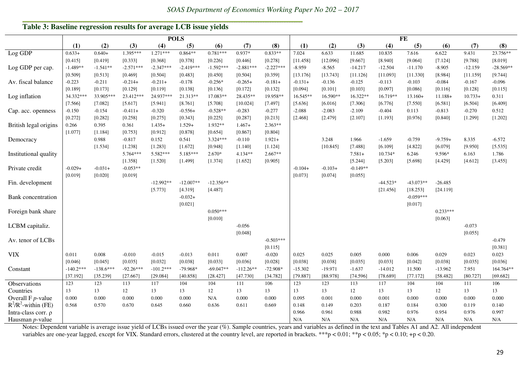*SOAS Department of Economics Working Paper No 202 – 2017* 

# **Table 3: Baseline regression results for average LCB issue yields**

|                        |             | <b>POLS</b> |             |             |             |             |             |             |           | FE        |            |            |             |            |           |             |  |
|------------------------|-------------|-------------|-------------|-------------|-------------|-------------|-------------|-------------|-----------|-----------|------------|------------|-------------|------------|-----------|-------------|--|
|                        | (1)         | (2)         | (3)         | (4)         | (5)         | (6)         | (7)         | (8)         | (1)       | (2)       | (3)        | (4)        | (5)         | (6)        | (7)       | (8)         |  |
| Log GDP                | $0.633+$    | $0.640+$    | 1.395***    | $1.271***$  | $0.864**$   | $0.781***$  | 0.937*      | $0.833**$   | 7.024     | 6.633     | 11.685     | 10.835     | 7.616       | 6.622      | 9.431     | 23.756**    |  |
|                        | [0.415]     | [0.419]     | [0.333]     | [0.368]     | [0.378]     | [0.226]     | [0.446]     | [0.278]     | [11.458]  | [12.096]  | [9.667]    | [8.940]    | [9.064]     | [7.124]    | [9.788]   | [8.019]     |  |
| Log GDP per cap.       | $-1.489**$  | $-1.541**$  | $-2.571***$ | $-2.347***$ | $-2.419***$ | $-1.592***$ | $-2.881***$ | $-2.227***$ | $-8.959$  | $-8.565$  | $-14.217$  | $-12.504$  | $-11.170$   | $-8.905$   | $-12.159$ | $-28.569**$ |  |
|                        | [0.509]     | [0.513]     | [0.469]     | [0.504]     | [0.483]     | [0.450]     | [0.504]     | [0.359]     | [13.176]  | [13.743]  | [11.126]   | [11.093]   | [11.330]    | [8.984]    | [11.159]  | [9.744]     |  |
| Av. fiscal balance     | $-0.223$    | $-0.211$    | $-0.214+$   | $-0.211+$   | $-0.178$    | $-0.256*$   | $-0.265+$   | $-0.181+$   | $-0.131+$ | $-0.136$  | $-0.125$   | $-0.113$   | $-0.103$    | $-0.084$   | $-0.167$  | $-0.096$    |  |
|                        | [0.189]     | [0.173]     | [0.129]     | [0.119]     | [0.138]     | [0.136]     | [0.172]     | [0.132]     | [0.094]   | [0.101]   | [0.103]    | [0.097]    | [0.086]     | [0.116]    | [0.128]   | [0.115]     |  |
| Log inflation          | 34.332***   | 33.905***   | 23.412***   | 24.937***   | 21.313**    | 17.083**    | 28.435**    | 19.958**    | 16.545**  | 16.590**  | 16.322**   | 16.719**   | $13.160+$   | $11.188+$  | $10.733+$ | 0.311       |  |
|                        | [7.566]     | [7.082]     | [5.617]     | [5.941]     | [8.761]     | [5.708]     | [10.024]    | [7.497]     | [5.636]   | [6.016]   | [7.306]    | [6.776]    | [7.550]     | [6.581]    | [6.504]   | [6.409]     |  |
| Cap. acc. openness     | $-0.150$    | $-0.154$    | $-0.411+$   | $-0.320$    | $-0.556+$   | $-0.528**$  | $-0.283$    | $-0.277$    | $-2.088$  | $-2.083$  | $-2.109$   | $-0.404$   | 0.113       | $-0.813$   | $-0.270$  | 0.512       |  |
|                        | [0.272]     | [0.282]     | [0.258]     | [0.275]     | [0.343]     | [0.225]     | [0.287]     | [0.213]     | [2.468]   | [2.479]   | [2.107]    | [1.193]    | [0.976]     | [0.840]    | [1.299]   | [1.202]     |  |
| British legal origins  | 0.266       | 0.395       | 0.361       | $1.435+$    | $1.529+$    | 1.932**     | $1.467+$    | $2.363**$   |           |           |            |            |             |            |           |             |  |
|                        | [1.077]     | [1.184]     | [0.753]     | [0.912]     | [0.878]     | [0.654]     | [0.867]     | [0.804]     |           |           |            |            |             |            |           |             |  |
| Democracy              |             | 0.988       | $-0.817$    | 0.152       | 0.541       | 3.324 ***   | $-0.110$    | $1.921+$    |           | 3.248     | 1.966      | $-1.659$   | $-0.759$    | $-9.759+$  | 8.335     | $-6.572$    |  |
|                        |             | [1.534]     | [1.238]     | [1.283]     | [1.672]     | [0.948]     | [1.140]     | [1.124]     |           | [10.845]  | [7.488]    | [6.109]    | [4.822]     | [6.079]    | [9.950]   | [5.535]     |  |
| Institutional quality  |             |             | 5.764***    | 5.582***    | 5.185***    | 2.670*      | $4.134**$   | $2.667**$   |           |           | $7.581+$   | $10.734*$  | 6.246       | 9.596*     | 6.163     | 1.786       |  |
|                        |             |             | [1.358]     | [1.520]     | [1.499]     | [1.374]     | [1.652]     | [0.905]     |           |           | [5.244]    | [5.203]    | [5.698]     | [4.429]    | [4.612]   | [3.455]     |  |
| Private credit         | $-0.029+$   | $-0.031+$   | $-0.053**$  |             |             |             |             |             | $-0.104+$ | $-0.103+$ | $-0.149**$ |            |             |            |           |             |  |
|                        | [0.019]     | [0.020]     | [0.019]     |             |             |             |             |             | [0.073]   | [0.074]   | [0.055]    |            |             |            |           |             |  |
| Fin. development       |             |             |             | $-12.992**$ | $-12.007**$ | $-12.356**$ |             |             |           |           |            | $-44.523*$ | $-43.073**$ | $-26.485$  |           |             |  |
|                        |             |             |             | [5.773]     | [4.319]     | [4.487]     |             |             |           |           |            | [21.456]   | [18.253]    | [24.119]   |           |             |  |
| Bank concentration     |             |             |             |             | $-0.032+$   |             |             |             |           |           |            |            | $-0.059***$ |            |           |             |  |
|                        |             |             |             |             | [0.021]     |             |             |             |           |           |            |            | [0.017]     |            |           |             |  |
| Foreign bank share     |             |             |             |             |             | $0.050***$  |             |             |           |           |            |            |             | $0.233***$ |           |             |  |
|                        |             |             |             |             |             | [0.010]     |             |             |           |           |            |            |             | [0.063]    |           |             |  |
| LCBM capitaliz.        |             |             |             |             |             |             | $-0.056$    |             |           |           |            |            |             |            | $-0.073$  |             |  |
|                        |             |             |             |             |             |             | [0.048]     |             |           |           |            |            |             |            | [0.055]   |             |  |
| Av. tenor of LCBs      |             |             |             |             |             |             |             | $-0.503***$ |           |           |            |            |             |            |           | $-0.479$    |  |
|                        |             |             |             |             |             |             |             | [0.115]     |           |           |            |            |             |            |           | [0.381]     |  |
| <b>VIX</b>             | 0.011       | 0.008       | $-0.010$    | $-0.015$    | $-0.013$    | 0.011       | 0.007       | $-0.020$    | 0.025     | 0.025     | 0.005      | 0.000      | 0.006       | 0.029      | 0.023     | 0.023       |  |
|                        | [0.046]     | [0.045]     | [0.035]     | [0.032]     | [0.038]     | [0.033]     | [0.036]     | [0.028]     | [0.038]   | [0.038]   | [0.035]    | [0.033]    | [0.042]     | [0.038]    | [0.035]   | [0.036]     |  |
| Constant               | $-140.2***$ | $-138.6***$ | $-92.26***$ | $-101.2***$ | $-79.968*$  | $-69.047**$ | $-112.26**$ | $-72.908*$  | $-15.302$ | $-19.971$ | $-1.637$   | $-14.012$  | 11.500      | $-13.962$  | 7.951     | 164.764**   |  |
|                        | [37.192]    | [35.239]    | [27.667]    | [29.084]    | [40.858]    | [28.427]    | [47.730]    | [34.782]    | [79.887]  | [88.978]  | [74.596]   | [78.689]   | [77.172]    | [58.482]   | [80.727]  | [69.682]    |  |
| Observations           | 123         | 123         | 113         | 117         | 104         | 104         | 111         | 106         | 123       | 123       | 113        | 117        | 104         | 104        | 111       | 106         |  |
| Countries              | 13          | 13          | 12          | 13          | 13          | 12          | 13          | 13          | 13        | 13        | 12         | 13         | 13          | 12         | 13        | 13          |  |
| Overall $F$ $p$ -value | 0.000       | 0.000       | 0.000       | 0.000       | 0.000       | N/A         | 0.000       | 0.000       | 0.095     | 0.001     | 0.000      | 0.001      | 0.000       | 0.000      | 0.000     | 0.000       |  |
| $R^2/R^2$ -within (FE) | 0.568       | 0.570       | 0.670       | 0.645       | 0.660       | 0.636       | 0.611       | 0.669       | 0.148     | 0.149     | 0.203      | 0.187      | 0.184       | 0.300      | 0.119     | 0.140       |  |
| Intra-class corr. ρ    |             |             |             |             |             |             |             |             | 0.966     | 0.961     | 0.988      | 0.982      | 0.976       | 0.954      | 0.976     | 0.997       |  |
| Hausman $p$ -value     |             |             |             |             |             |             |             |             | N/A       | N/A       | N/A        | N/A        | N/A         | N/A        | N/A       | N/A         |  |

Notes: Dependent variable is average issue yield of LCBs issued over the year (%). Sample countries, years and variables as defined in the text and Tables A1 and A2. All independent variables are one-year lagged, except for VIX. Standard errors, clustered at the country level, are reported in brackets. \*\*\*p < 0.01; \*\*p < 0.05; \*p < 0.10; +p < 0.20.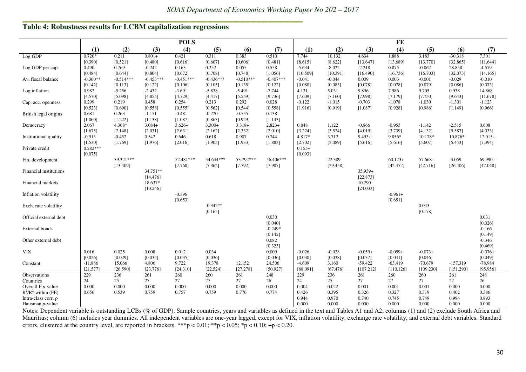## **Table 4: Robustness results for LCBM capitalization regressions**

|                        | <b>POLS</b> |             |             |             |             |             |             |          | FE       |           |           |           |            |           |  |  |
|------------------------|-------------|-------------|-------------|-------------|-------------|-------------|-------------|----------|----------|-----------|-----------|-----------|------------|-----------|--|--|
|                        | (1)         | (2)         | (3)         | (4)         | (5)         | (6)         | (7)         | (1)      | (2)      | (3)       | (4)       | (5)       | (6)        | (7)       |  |  |
| Log GDP                | $0.720*$    | 0.211       | $0.801+$    | 0.421       | 0.311       | 0.383       | 0.510       | 7.744    | 10.132   | 4.634     | 1.888     | 3.183     | $-30.318$  | 7.301     |  |  |
|                        | [0.390]     | [0.521]     | [0.480]     | [0.616]     | [0.607]     | [0.606]     | [0.481]     | [8.615]  | [8.622]  | [13.647]  | [13.689]  | [13.770]  | [32.865]   | [11.644]  |  |  |
| Log GDP per cap.       | 0.490       | 0.769       | $-0.242$    | 0.163       | 0.252       | 0.055       | 0.558       | $-5.634$ | $-8.022$ | $-2.218$  | 0.875     | $-0.062$  | 28.858     | $-4.579$  |  |  |
|                        | [0.484]     | [0.644]     | [0.804]     | [0.672]     | [0.708]     | [0.748]     | [1.056]     | [10.509] | [10.391] | [16.490]  | [16.736]  | [16.703]  | [32.073]   | [14.165]  |  |  |
| Av. fiscal balance     | $-0.360**$  | $-0.514***$ | $-0.453***$ | $-0.451***$ | $-0.436***$ | $-0.510***$ | $-0.407***$ | $-0.041$ | $-0.044$ | 0.009     | 0.003     | $-0.001$  | $-0.029$   | $-0.010$  |  |  |
|                        | [0.142]     | [0.113]     | [0.122]     | [0.106]     | [0.105]     | [0.135]     | [0.122]     | [0.080]  | [0.083]  | [0.078]   | [0.078]   | [0.079]   | [0.086]    | [0.073]   |  |  |
| Log inflation          | 0.982       | $-5.256$    | $-2.432$    | $-3.691$    | $-5.838+$   | $-5.491$    | $-7.744$    | 4.131    | 5.031    | 9.896     | 7.586     | 9.705     | 0.938      | 14.868    |  |  |
|                        | [4.570]     | [5.098]     | [4.855]     | [4.729]     | [4.417]     | [5.559]     | [9.736]     | [7.609]  | [7.160]  | [7.998]   | [7.179]   | [7.750]   | [9.643]    | [11.678]  |  |  |
| Cap. acc. openness     | 0.299       | 0.219       | 0.458       | 0.254       | 0.213       | 0.292       | 0.028       | $-0.122$ | $-1.015$ | $-0.703$  | $-1.078$  | $-1.030$  | $-1.301$   | $-1.123$  |  |  |
|                        | [0.523]     | [0.690]     | [0.558]     | [0.555]     | [0.562]     | [0.544]     | [0.558]     | [1.916]  | [0.919]  | [1.087]   | [0.928]   | [0.986]   | [1.149]    | [0.966]   |  |  |
| British legal origins  | 0.681       | 0.263       | $-1.151$    | $-0.481$    | $-0.220$    | $-0.555$    | 0.138       |          |          |           |           |           |            |           |  |  |
|                        | [1.060]     | [1.222]     | [1.138]     | [1.087]     | [0.863]     | [0.929]     | [1.143]     |          |          |           |           |           |            |           |  |  |
| Democracy              | 2.067       | 4.368*      | $3.084+$    | $3.626+$    | $3.300+$    | $3.318+$    | $2.823+$    | 0.848    | 1.122    | $-0.866$  | $-0.953$  | $-1.142$  | $-2.515$   | 0.608     |  |  |
|                        | [1.675]     | [2.148]     | [2.031]     | [2.631]     | [2.162]     | [2.332]     | [2.010]     | [3.224]  | [3.524]  | [4.019]   | [3.739]   | [4.132]   | [5.587]    | [4.033]   |  |  |
| Institutional quality  | $-0.513$    | $-0.452$    | 0.542       | 0.646       | 0.618       | 0.907       | 0.744       | 4.817*   | 3.712    | $9.493+$  | 9.856*    | 10.178*   | 10.876*    | $12.015+$ |  |  |
|                        | [1.530]     | [1.769]     | [1.976]     | [2.016]     | [1.905]     | [1.933]     | [1.883]     | [2.702]  | [3.089]  | [5.616]   | [5.616]   | [5.607]   | [5.443]    | [7.394]   |  |  |
| Private credit         | $0.282***$  |             |             |             |             |             |             | $0.155+$ |          |           |           |           |            |           |  |  |
|                        | [0.075]     |             |             |             |             |             |             | [0.093]  |          |           |           |           |            |           |  |  |
| Fin. development       |             | 39.321***   |             | 52.481***   | 54.644***   | 53.792***   | 56.406***   |          | 22.389   |           | $60.123+$ | $57.668+$ | $-3.059$   | $69.990+$ |  |  |
|                        |             | [13.409]    |             | [7.768]     | [7.362]     | [7.792]     | [7.987]     |          | [29.458] |           | [42.472]  | [42.716]  | [26.406]   | [47.048]  |  |  |
| Financial institutions |             |             | 34.751**    |             |             |             |             |          |          | $35.939+$ |           |           |            |           |  |  |
|                        |             |             | [14.476]    |             |             |             |             |          |          | [22.873]  |           |           |            |           |  |  |
| Financial markets      |             |             | 18.637*     |             |             |             |             |          |          | 10.290    |           |           |            |           |  |  |
|                        |             |             | [10.246]    | $-0.396$    |             |             |             |          |          | [24.033]  |           |           |            |           |  |  |
| Inflation volatility   |             |             |             |             |             |             |             |          |          |           | $-0.961+$ |           |            |           |  |  |
|                        |             |             |             | [0.653]     | $-0.342**$  |             |             |          |          |           | [0.651]   | 0.043     |            |           |  |  |
| Exch. rate volatility  |             |             |             |             | [0.165]     |             |             |          |          |           |           | [0.178]   |            |           |  |  |
| Official external debt |             |             |             |             |             |             | 0.030       |          |          |           |           |           |            | 0.031     |  |  |
|                        |             |             |             |             |             |             | [0.040]     |          |          |           |           |           |            | [0.026]   |  |  |
| External bonds         |             |             |             |             |             |             | $-0.249*$   |          |          |           |           |           |            | $-0.166$  |  |  |
|                        |             |             |             |             |             |             | [0.142]     |          |          |           |           |           |            | [0.149]   |  |  |
| Other external debt    |             |             |             |             |             |             | 0.082       |          |          |           |           |           |            | $-0.346$  |  |  |
|                        |             |             |             |             |             |             | [0.323]     |          |          |           |           |           |            | [0.469]   |  |  |
| ${\rm VIX}$            | 0.016       | 0.025       | 0.008       | 0.012       | 0.034       |             | 0.009       | $-0.026$ | $-0.028$ | $-0.059+$ | $-0.059+$ | $-0.073+$ |            | $-0.076+$ |  |  |
|                        | [0.026]     | [0.029]     | [0.035]     | [0.035]     | [0.036]     |             | [0.036]     | [0.030]  | [0.038]  | [0.037]   | [0.041]   | [0.046]   |            | [0.049]   |  |  |
| Constant               | $-11.886$   | 15.066      | 4.806       | 9.722       | 19.378      | 12.152      | 24.506      | $-4.609$ | 3.160    | $-59.422$ | $-63.419$ | $-70.679$ | $-157.319$ | $-78.984$ |  |  |
|                        | [21.577]    | [26.590]    | [23.776]    | [24.310]    | [22.524]    | [27.278]    | [50.927]    | [68.091] | [67.476] | [107.212] | [110.126] | [109.230] | [151.290]  | [95.956]  |  |  |
| Observations           | 229         | 236         | 261         | 260         | 260         | 261         | 248         | 229      | 236      | 261       | 260       | 260       | 261        | 248       |  |  |
| Countries              | 24          | 25          | 27          | 27          | 27          | 27          | 26          | 24       | 25       | 27        | 27        | 27        | 27         | 26        |  |  |
| Overall $F$ $p$ -value | 0.000       | 0.000       | 0.000       | 0.000       | 0.000       | 0.000       | 0.000       | 0.004    | 0.022    | 0.001     | 0.001     | 0.001     | 0.000      | 0.000     |  |  |
| $R^2/R^2$ -within (FE) | 0.656       | 0.539       | 0.759       | 0.757       | 0.759       | 0.776       | 0.774       | 0.426    | 0.395    | 0.326     | 0.327     | 0.319     | 0.402      | 0.386     |  |  |
| Intra-class corr. ρ    |             |             |             |             |             |             |             | 0.944    | 0.970    | 0.740     | 0.745     | 0.749     | 0.994      | 0.893     |  |  |
| Hausman p-value        |             |             |             |             |             |             |             | 0.000    | 0.000    | 0.000     | 0.000     | 0.000     | 0.000      | 0.000     |  |  |

Notes: Dependent variable is outstanding LCBs (% of GDP). Sample countries, years and variables as defined in the text and Tables A1 and A2; columns (1) and (2) exclude South Africa and Mauritius; column (6) includes year dummies. All independent variables are one-year lagged, except for VIX, inflation volatility, exchange rate volatility, and external debt variables. Standard errors, clustered at the country level, are reported in brackets. \*\*\*p < 0.01; \*\*p < 0.05; \*p < 0.10; +p < 0.20.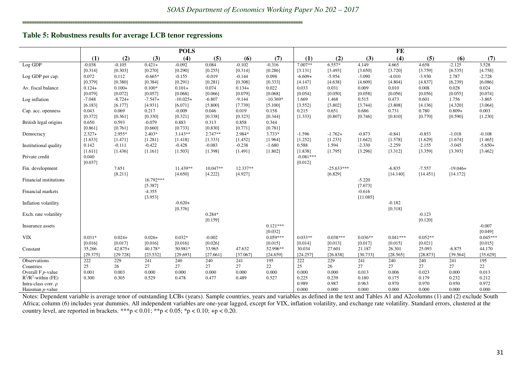#### **Table 5: Robustness results for average LCB tenor regressions**

|                          | <b>POLS</b>         |                   |                     |                      |                      |                   |                     |             | FE           |           |            |           |            |            |  |  |
|--------------------------|---------------------|-------------------|---------------------|----------------------|----------------------|-------------------|---------------------|-------------|--------------|-----------|------------|-----------|------------|------------|--|--|
|                          | (1)                 | (2)               | (3)                 | (4)                  | (5)                  | (6)               | (7)                 | (1)         | (2)          | (3)       | (4)        | (5)       | (6)        | (7)        |  |  |
| $Log$ $GDP$              | $-0.038$            | $-0.105$          | $0.421+$            | $-0.092$             | 0.084                | $-0.102$          | $-0.316$            | 7.007**     | $6.557*$     | 4.149     | 4.665      | 4.658     | $-2.125$   | 3.528      |  |  |
|                          | [0.314]             | [0.303]           | [0.270]             | [0.290]              | [0.255]              | [0.314]           | [0.286]             | [3.131]     | [3.493]      | [3.650]   | [3.720]    | [3.759]   | [6.535]    | [4.758]    |  |  |
| Log GDP per cap.         | 0.072               | 0.112             | $-0.665*$           | $-0.155$             | $-0.019$             | $-0.144$          | 0.098               | $-6.609+$   | $-5.954$     | $-3.090$  | $-4.010$   | $-3.930$  | 2.787      | $-2.728$   |  |  |
|                          | [0.379]             | [0.380]           | [0.384]             | [0.291]              | [0.281]              | [0.308]           | [0.333]             | [4.147]     | [4.638]      | [4.609]   | [4.804]    | [4.837]   | [6.239]    | [6.086]    |  |  |
| Av. fiscal balance       | $0.124+$            | $0.100+$          | $0.100*$            | $0.101+$             | 0.074                | $0.134+$          | 0.022               | 0.033       | 0.031        | 0.009     | 0.010      | 0.008     | 0.028      | 0.024      |  |  |
|                          | [0.079]             | [0.072]           | [0.057]             | [0.068]              | [0.066]              | [0.079]           | [0.068]             | [0.054]     | [0.050]      | [0.058]   | [0.056]    | [0.056]   | [0.055]    | [0.074]    |  |  |
| Log inflation            | $-7.048$            | $-8.724+$         | $-7.547+$           | $-10.025+$           | $-6.807$             | $-9.144$          | $-10.369*$          | 1.669       | 1.468        | 0.515     | 0.473      | 0.601     | 1.756      | $-3.865$   |  |  |
|                          | [6.183]             | [6.177]           | [4.931]             | [6.071]              | [5.800]              | [7.739]           | [5.100]             | [3.552]     | [3.802]      | [3.744]   | [3.808]    | [4.136]   | [4.320]    | [3.064]    |  |  |
| Cap. acc. openness       | 0.043               | 0.069             | 0.217               | $-0.009$             | 0.046                | 0.019             | 0.158               | 0.215       | 0.651        | 0.686     | 0.731      | 0.780     | $0.809+$   | 0.003      |  |  |
|                          | [0.372]             | [0.361]           | [0.330]             | [0.321]              | [0.338]              | [0.323]           | [0.344]             | [1.333]     | [0.807]      | [0.746]   | [0.810]    | [0.770]   | [0.590]    | [1.230]    |  |  |
| British legal origins    | 0.650               | 0.593             | $-0.079$            | 0.883                | 0.313                | 0.858             | 0.344               |             |              |           |            |           |            |            |  |  |
|                          | [0.861]<br>$2.327+$ | [0.761]<br>2.955* | [0.660]<br>$2.403*$ | [0.733]<br>$3.143**$ | [0.830]<br>$2.747**$ | [0.771]<br>2.984* | [0.781]<br>$3.733*$ | $-1.596$    | $-1.762+$    | $-0.873$  | $-0.841$   | $-0.853$  | $-1.018$   | $-0.108$   |  |  |
| Democracy                | [1.633]             | [1.471]           |                     | [1.418]              | [1.333]              | [1.452]           | [1.964]             | [1.252]     | [1.233]      | [1.642]   | [1.578]    | [1.629]   | [1.674]    | [1.465]    |  |  |
|                          | 0.142               | $-0.111$          | [1.281]<br>$-0.422$ | $-0.428$             | $-0.083$             | $-0.238$          | $-1.680$            | 0.588       | 1.594        | $-2.330$  | $-2.259$   | $-2.155$  | $-3.045$   | $-5.650+$  |  |  |
| Institutional quality    | [1.611]             | [1.436]           | [1.161]             | [1.503]              | [1.398]              | [1.491]           | [1.802]             | [1.838]     | [1.795]      | [3.296]   | [3.312]    | [3.359]   | [3.393]    | [3.462]    |  |  |
| Private credit           | 0.040               |                   |                     |                      |                      |                   |                     | $-0.081***$ |              |           |            |           |            |            |  |  |
|                          | [0.037]             |                   |                     |                      |                      |                   |                     | [0.012]     |              |           |            |           |            |            |  |  |
| Fin. development         |                     | 7.651             |                     | 11.439**             | 10.047**             | 12.337**          |                     |             | $-25.633***$ |           | $-6.835$   | $-7.557$  | $-19.046+$ |            |  |  |
|                          |                     | [8.211]           |                     | [4.650]              | [4.222]              | [4.927]           |                     |             | [6.829]      |           | [14.140]   | [14.451]  | [14.172]   |            |  |  |
| Financial institutions   |                     |                   | 16.792***           |                      |                      |                   |                     |             |              | $-5.220$  |            |           |            |            |  |  |
|                          |                     |                   | [5.387]             |                      |                      |                   |                     |             |              | [7.673]   |            |           |            |            |  |  |
| Financial markets        |                     |                   | $-4.355$            |                      |                      |                   |                     |             |              | $-0.616$  |            |           |            |            |  |  |
|                          |                     |                   | [3.953]             |                      |                      |                   |                     |             |              | [11.085]  |            |           |            |            |  |  |
| Inflation volatility     |                     |                   |                     | $-0.620+$            |                      |                   |                     |             |              |           | $-0.182$   |           |            |            |  |  |
|                          |                     |                   |                     | [0.376]              |                      |                   |                     |             |              |           | [0.318]    |           |            |            |  |  |
| Exch. rate volatility    |                     |                   |                     |                      | $0.284*$             |                   |                     |             |              |           |            | $-0.123$  |            |            |  |  |
|                          |                     |                   |                     |                      | [0.159]              |                   |                     |             |              |           |            | [0.120]   |            |            |  |  |
| Insurance assets         |                     |                   |                     |                      |                      |                   | $0.121***$          |             |              |           |            |           |            | $-0.007$   |  |  |
|                          |                     |                   |                     |                      |                      |                   | [0.032]             |             |              |           |            |           |            | [0.049]    |  |  |
| <b>VIX</b>               | $0.031*$            | $0.024+$          | $0.026+$            | $0.032*$             | $-0.002$             |                   | $0.059***$          | $0.033**$   | $0.038***$   | $0.036**$ | $0.041***$ | $0.052**$ |            | $0.045***$ |  |  |
|                          | [0.016]             | [0.017]           | [0.016]             | [0.016]              | [0.026]              |                   | [0.015]             | [0.014]     | [0.013]      | [0.017]   | [0.015]    | [0.021]   |            | [0.015]    |  |  |
| Constant                 | 35.266              | $42.875+$         | 40.178*             | 50.981*              | 33.965               | 47.632            | 52.996**            | 30.034      | 27.601       | 21.187    | 26.301     | 25.093    | $-6.875$   | 44.170     |  |  |
|                          | [29.375]            | [29.728]          | [23.532]            | [29.693]             | [27.661]             | [37.067]          | [24.659]            | [24.257]    | [26.838]     | [30.733]  | [28.565]   | [28.873]  | [39.564]   | [35.629]   |  |  |
| Observations             | 222                 | 229               | 241                 | 240                  | 240                  | 241               | 195                 | 222         | 229          | 241       | 240        | 240       | 241        | 195        |  |  |
| Countries                | 25                  | 26                | 27                  | 27                   | 27                   | 27                | 22                  | 25          | 26           | 27        | 27         | 27        | 27         | 22         |  |  |
| Overall $F p$ -value     | 0.001               | 0.003             | 0.000               | 0.000                | 0.000                | 0.000             | 0.000               | 0.000       | 0.000        | 0.013     | 0.006      | 0.023     | 0.000      | 0.013      |  |  |
| $R^2/R^2$ -within (FE)   | 0.300               | 0.305             | 0.529               | 0.478                | 0.477                | 0.489             | 0.527               | 0.225       | 0.239        | 0.180     | 0.175      | 0.179     | 0.232      | 0.212      |  |  |
| Intra-class corr. $\rho$ |                     |                   |                     |                      |                      |                   |                     | 0.989       | 0.987        | 0.963     | 0.970      | 0.970     | 0.950      | 0.972      |  |  |
| Hausman <i>p</i> -value  |                     |                   |                     |                      |                      |                   |                     | 0.000       | 0.000        | 0.000     | 0.000      | 0.000     | 0.000      | 0.000      |  |  |

Notes: Dependent variable is average tenor of outstanding LCBs (years). Sample countries, years and variables as defined in the text and Tables A1 and A2columns (1) and (2) exclude South Africa; column (6) includes year dummies. All independent variables are one-year lagged, except for VIX, inflation volatility, and exchange rate volatility. Standard errors, clustered at the country level, are reported in brackets. \*\*\*p < 0.01; \*\*p < 0.05; \*p < 0.10; +p < 0.20.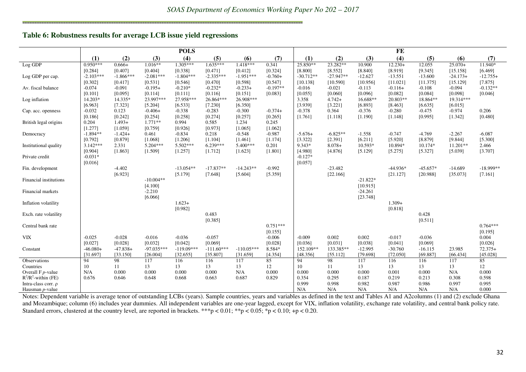#### **Table 6: Robustness results for average LCB issue yield regressions**

.<br>Protestante de la protestante

|                              |                     |                  |                      | <b>POLS</b>         |                     |                     |            |                     |                  |                       | FE                  |                     |                     |             |
|------------------------------|---------------------|------------------|----------------------|---------------------|---------------------|---------------------|------------|---------------------|------------------|-----------------------|---------------------|---------------------|---------------------|-------------|
|                              | (1)                 | (2)              | (3)                  | (4)                 | (5)                 | (6)                 | (7)        | (1)                 | (2)              | (3)                   | (4)                 | (5)                 | (6)                 | (7)         |
| Log GDP                      | $0.950***$          | $0.666+$         | $1.016**$            | $1.305***$          | $1.635***$          | $1.418***$          | 0.341      | 25.850**            | 23.282**         | 10.900                | $12.230+$           | 12.055              | $25.070+$           | 11.940*     |
|                              | [0.284]             | [0.407]          | [0.404]              | [0.338]             | [0.471]             | [0.412]             | [0.324]    | [8.800]             | [8.552]          | [8.840]               | [8.919]             | [9.345]             | [15.158]            | [6.469]     |
| Log GDP per cap.             | $-2.103***$         | $-1.866***$      | $-2.081***$          | $-1.804***$         | $-2.335***$         | $-1.951***$         | $-0.760+$  | $-30.712**$         | $-27.947**$      | $-12.627$             | $-13.551$           | $-13.600$           | $-24.173+$          | $-12.755+$  |
|                              | [0.302]             | [0.417]          | [0.531]              | [0.546]             | [0.470]             | [0.598]             | [0.547]    | [10.138]            | [10.590]         | [10.956]              | [11.021]            | [11.375]            | [15.129]            | [7.875]     |
| Av. fiscal balance           | $-0.074$            | $-0.091$         | $-0.195+$            | $-0.210*$           | $-0.232*$           | $-0.233+$           | $-0.197**$ | $-0.016$            | $-0.021$         | $-0.113$              | $-0.116+$           | $-0.108$            | $-0.094$            | $-0.132**$  |
|                              | [0.101]             | [0.095]          | [0.114]              | [0.111]             | [0.116]             | [0.151]             | [0.083]    | [0.055]             | [0.060]          | [0.096]               | [0.082]             | [0.084]             | [0.098]             | [0.046]     |
| Log inflation                | 14.203*             | 14.335*          | 23.997***            | 27.958***           | 26.864***           | 26.908***           |            | 3.358               | $4.742+$         | 16.688**              | $20.803**$          | 18.864**            | 19.314***           |             |
|                              | [6.963]<br>$-0.032$ | [7.323]<br>0.123 | [5.204]<br>$-0.406+$ | [6.533]<br>$-0.338$ | [7.230]<br>$-0.283$ | [6.350]<br>$-0.300$ | $-0.374+$  | [3.939]<br>$-0.378$ | [3.221]<br>0.364 | [6.893]<br>$-0.376$   | [8.463]<br>$-0.280$ | [6.635]<br>$-0.475$ | [6.015]<br>$-0.974$ | 0.206       |
| Cap. acc. openness           | [0.186]             | [0.242]          | [0.254]              | [0.258]             | [0.274]             | [0.257]             | [0.265]    | [1.761]             | [1.118]          | [1.190]               | [1.148]             | [0.995]             | [1.342]             | [0.480]     |
| British legal origins        | 0.204               | $1.493+$         | $1.771**$            | 0.994               | 0.585               | 1.234               | 0.245      |                     |                  |                       |                     |                     |                     |             |
|                              | [1.277]             | [1.059]          | [0.759]              | [0.926]             | [0.973]             | [1.065]             | [1.062]    |                     |                  |                       |                     |                     |                     |             |
| Democracy                    | $-1.894**$          | $-1.424+$        | 0.461                | $-0.834$            | 0.218               | $-0.548$            | $-0.987$   | $-5.676+$           | $-6.825**$       | $-1.558$              | $-0.747$            | $-4.769$            | $-2.267$            | $-6.087$    |
|                              | [0.792]             | [0.879]          | [1.068]              | [1.206]             | [1.104]             | [1.461]             | [1.174]    | [3.322]             | [2.391]          | [6.211]               | [5.920]             | [8.879]             | [9.844]             | [5.300]     |
| <b>Institutional quality</b> | $3.142***$          | 2.331            | $5.204***$           | $5.502***$          | $6.239***$          | $5.400***$          | 0.201      | 9.343*              | $8.078+$         | 10.593*               | 10.894*             | $10.174*$           | $11.201**$          | 2.466       |
|                              | [0.904]             | [1.863]          | [1.509]              | [1.257]             | [1.712]             | [1.623]             | [1.801]    | [4.980]             | [4.876]          | [5.129]               | [5.275]             | [5.327]             | [5.039]             | [3.707]     |
| Private credit               | $-0.031*$           |                  |                      |                     |                     |                     |            | $-0.127*$           |                  |                       |                     |                     |                     |             |
|                              | [0.016]             |                  |                      |                     |                     |                     |            | [0.057]             |                  |                       |                     |                     |                     |             |
| Fin. development             |                     | $-4.402$         |                      | $-13.054**$         | $-17.837**$         | $-14.243**$         | $-0.992$   |                     | $-23.482$        |                       | $-44.936*$          | $-45.657*$          | $-14.689$           | $-18.999**$ |
|                              |                     | [6.923]          |                      | [5.179]             | [7.648]             | [5.604]             | [5.359]    |                     | [22.166]         |                       | [21.127]            | [20.988]            | [35.073]            | [7.161]     |
| Financial institutions       |                     |                  | $-10.004**$          |                     |                     |                     |            |                     |                  | $-21.822*$            |                     |                     |                     |             |
| Financial markets            |                     |                  | [4.100]<br>$-2.210$  |                     |                     |                     |            |                     |                  | [10.915]<br>$-24.261$ |                     |                     |                     |             |
|                              |                     |                  | [6.066]              |                     |                     |                     |            |                     |                  | [23.748]              |                     |                     |                     |             |
| Inflation volatility         |                     |                  |                      | $1.623+$            |                     |                     |            |                     |                  |                       | $1.309+$            |                     |                     |             |
|                              |                     |                  |                      | [0.982]             |                     |                     |            |                     |                  |                       | [0.818]             |                     |                     |             |
| Exch. rate volatility        |                     |                  |                      |                     | 0.483               |                     |            |                     |                  |                       |                     | 0.428               |                     |             |
|                              |                     |                  |                      |                     | [0.385]             |                     |            |                     |                  |                       |                     | [0.511]             |                     |             |
| Central bank rate            |                     |                  |                      |                     |                     |                     | $0.751***$ |                     |                  |                       |                     |                     |                     | $0.764***$  |
|                              |                     |                  |                      |                     |                     |                     | [0.155]    |                     |                  |                       |                     |                     |                     | [0.195]     |
| <b>VIX</b>                   | $-0.025$            | $-0.028$         | $-0.016$             | $-0.036$            | $-0.057$            |                     | $-0.006$   | $-0.009$            | 0.002            | 0.002                 | $-0.017$            | $-0.036$            |                     | 0.004       |
|                              | [0.027]             | [0.028]          | [0.032]              | [0.042]             | [0.069]             |                     | [0.028]    | [0.036]             | [0.031]          | [0.038]               | [0.041]             | [0.069]             |                     | [0.026]     |
| Constant                     | $-46.080+$          | $-47.838+$       | $-97.035***$         | $-119.09***$        | $-111.60***$        | $-110.05***$        | 8.584*     | 152.109**           | 133.385**        | $-12.995$             | $-30.760$           | $-16.115$           | 23.985              | $72.375+$   |
|                              | [31.697]            | [33.150]         | [26.004]             | [32.655]            | [35.807]            | [31.659]            | [4.354]    | [48.356]<br>94      | [55.112]         | [79.698]              | [72.050]            | [69.887]            | [66.434]            | [45.028]    |
| Observations<br>Countries    | 94<br>10            | 98<br>11         | 117<br>13            | 116<br>13           | 116<br>13           | 117<br>13           | 85<br>12   | 10                  | 98<br>11         | 117<br>13             | 116<br>13           | 116<br>13           | 117<br>13           | 85<br>12    |
| Overall $F$ $p$ -value       | N/A                 | 0.000            | 0.000                | 0.000               | 0.000               | N/A                 | 0.000      | 0.000               | 0.000            | 0.000                 | 0.001               | 0.000               | N/A                 | 0.000       |
| $R^2/R^2$ -within (FE)       | 0.676               | 0.646            | 0.648                | 0.668               | 0.663               | 0.687               | 0.829      | 0.354               | 0.295            | 0.187                 | 0.219               | 0.213               | 0.308               | 0.598       |
| Intra-class corr. p          |                     |                  |                      |                     |                     |                     |            | 0.999               | 0.998            | 0.982                 | 0.987               | 0.986               | 0.997               | 0.995       |
| Hausman p-value              |                     |                  |                      |                     |                     |                     |            | N/A                 | N/A              | N/A                   | N/A                 | N/A                 | N/A                 | 0.000       |

Hausman p-value  $\begin{array}{|l|l|l|} \hline \text{NA} & \text{N/A} & \text{N/A} & \text{N/A} & \text{N/A} & \text{N/A} & \text{N/A} & \text{N/A} & \text{N/A} & \text{N/A} & \text{N/A} & \text{N/A} & \text{N/A} & \text{N/A} & \text{N/A} & \text{N/A} & \text{N/A} & \text{N/A} & \text{N/A} & \text{N/A} & \text{N/A} & \text{N/A} & \text{N/A} & \text{N/A} & \text{N/A} & \text{N/A} & \text{N/A} &$  and Mozambique; column (6) includes year dummies. All independent variables are one-year lagged, except for VIX, inflation volatility, exchange rate volatility, and central bank policy rate. Standard errors, clustered at the country level, are reported in brackets. \*\*\*p < 0.01; \*\*p < 0.05; \*p < 0.10; +p < 0.20.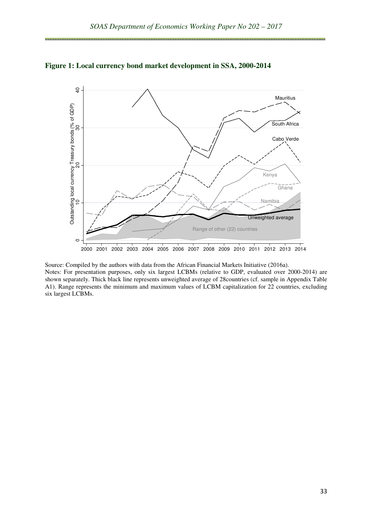

**Figure 1: Local currency bond market development in SSA, 2000-2014** 

Source: Compiled by the authors with data from the African Financial Markets Initiative (2016a). Notes: For presentation purposes, only six largest LCBMs (relative to GDP, evaluated over 2000-2014) are shown separately. Thick black line represents unweighted average of 28countries (cf. sample in Appendix Table A1). Range represents the minimum and maximum values of LCBM capitalization for 22 countries, excluding six largest LCBMs.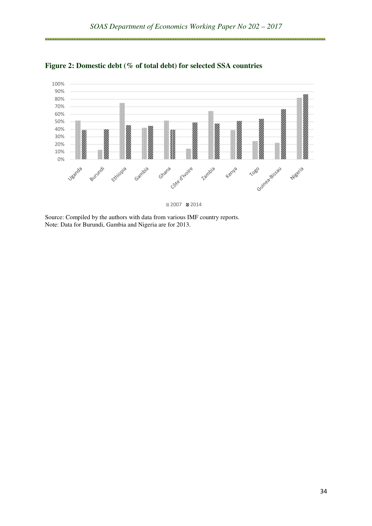

**Figure 2: Domestic debt (% of total debt) for selected SSA countries** 

2007 2014

Source: Compiled by the authors with data from various IMF country reports. Note: Data for Burundi, Gambia and Nigeria are for 2013.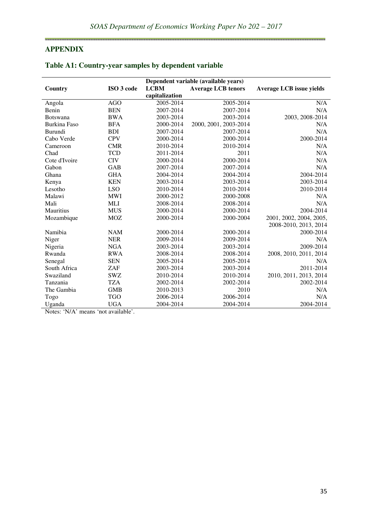## **APPENDIX**

ويبيع

|                     | Dependent variable (available years) |                |                           |                                 |  |  |  |  |  |  |  |
|---------------------|--------------------------------------|----------------|---------------------------|---------------------------------|--|--|--|--|--|--|--|
| Country             | ISO 3 code                           | <b>LCBM</b>    | <b>Average LCB tenors</b> | <b>Average LCB</b> issue yields |  |  |  |  |  |  |  |
|                     |                                      | capitalization |                           |                                 |  |  |  |  |  |  |  |
| Angola              | <b>AGO</b>                           | 2005-2014      | 2005-2014                 | N/A                             |  |  |  |  |  |  |  |
| Benin               | <b>BEN</b>                           | 2007-2014      | 2007-2014                 | N/A                             |  |  |  |  |  |  |  |
| <b>Botswana</b>     | <b>BWA</b>                           | 2003-2014      | 2003-2014                 | 2003, 2008-2014                 |  |  |  |  |  |  |  |
| <b>Burkina Faso</b> | <b>BFA</b>                           | 2000-2014      | 2000, 2001, 2003-2014     | N/A                             |  |  |  |  |  |  |  |
| Burundi             | <b>BDI</b>                           | 2007-2014      | 2007-2014                 | N/A                             |  |  |  |  |  |  |  |
| Cabo Verde          | <b>CPV</b>                           | 2000-2014      | 2000-2014                 | 2000-2014                       |  |  |  |  |  |  |  |
| Cameroon            | <b>CMR</b>                           | 2010-2014      | 2010-2014                 | N/A                             |  |  |  |  |  |  |  |
| Chad                | <b>TCD</b>                           | 2011-2014      | 2011                      | N/A                             |  |  |  |  |  |  |  |
| Cote d'Ivoire       | <b>CIV</b>                           | 2000-2014      | 2000-2014                 | N/A                             |  |  |  |  |  |  |  |
| Gabon               | <b>GAB</b>                           | 2007-2014      | 2007-2014                 | N/A                             |  |  |  |  |  |  |  |
| Ghana               | <b>GHA</b>                           | 2004-2014      | 2004-2014                 | 2004-2014                       |  |  |  |  |  |  |  |
| Kenya               | <b>KEN</b>                           | 2003-2014      | 2003-2014                 | 2003-2014                       |  |  |  |  |  |  |  |
| Lesotho             | <b>LSO</b>                           | 2010-2014      | 2010-2014                 | 2010-2014                       |  |  |  |  |  |  |  |
| Malawi              | <b>MWI</b>                           | 2000-2012      | 2000-2008                 | N/A                             |  |  |  |  |  |  |  |
| Mali                | <b>MLI</b>                           | 2008-2014      | 2008-2014                 | N/A                             |  |  |  |  |  |  |  |
| <b>Mauritius</b>    | <b>MUS</b>                           | 2000-2014      | 2000-2014                 | 2004-2014                       |  |  |  |  |  |  |  |
| Mozambique          | <b>MOZ</b>                           | 2000-2014      | 2000-2004                 | 2001, 2002, 2004, 2005,         |  |  |  |  |  |  |  |
|                     |                                      |                |                           | 2008-2010, 2013, 2014           |  |  |  |  |  |  |  |
| Namibia             | <b>NAM</b>                           | 2000-2014      | 2000-2014                 | 2000-2014                       |  |  |  |  |  |  |  |
| Niger               | <b>NER</b>                           | 2009-2014      | 2009-2014                 | N/A                             |  |  |  |  |  |  |  |
| Nigeria             | <b>NGA</b>                           | 2003-2014      | 2003-2014                 | 2009-2014                       |  |  |  |  |  |  |  |
| Rwanda              | <b>RWA</b>                           | 2008-2014      | 2008-2014                 | 2008, 2010, 2011, 2014          |  |  |  |  |  |  |  |
| Senegal             | <b>SEN</b>                           | 2005-2014      | 2005-2014                 | N/A                             |  |  |  |  |  |  |  |
| South Africa        | ZAF                                  | 2003-2014      | 2003-2014                 | 2011-2014                       |  |  |  |  |  |  |  |
| Swaziland           | <b>SWZ</b>                           | 2010-2014      | 2010-2014                 | 2010, 2011, 2013, 2014          |  |  |  |  |  |  |  |
| Tanzania            | <b>TZA</b>                           | 2002-2014      | 2002-2014                 | 2002-2014                       |  |  |  |  |  |  |  |
| The Gambia          | <b>GMB</b>                           | 2010-2013      | 2010                      | N/A                             |  |  |  |  |  |  |  |
| Togo                | <b>TGO</b>                           | 2006-2014      | 2006-2014                 | N/A                             |  |  |  |  |  |  |  |
| Uganda              | <b>UGA</b>                           | 2004-2014      | 2004-2014                 | 2004-2014                       |  |  |  |  |  |  |  |

# **Table A1: Country-year samples by dependent variable**

Notes: 'N/A' means 'not available'.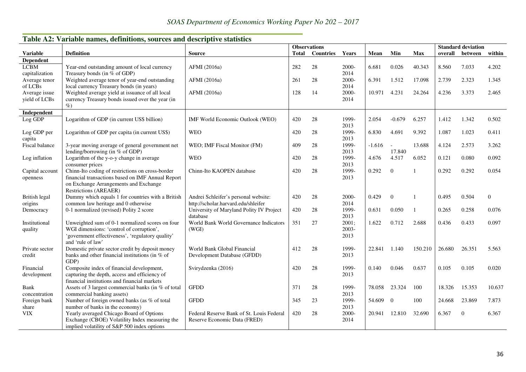|                                |                                                                                                                                                                      | <b>Observations</b>                                                         |              |                  |                        |          |                          |                | <b>Standard deviation</b> |              |                  |
|--------------------------------|----------------------------------------------------------------------------------------------------------------------------------------------------------------------|-----------------------------------------------------------------------------|--------------|------------------|------------------------|----------|--------------------------|----------------|---------------------------|--------------|------------------|
| <b>Variable</b>                | <b>Definition</b>                                                                                                                                                    | <b>Source</b>                                                               | <b>Total</b> | <b>Countries</b> | Years                  | Mean     | Min                      | <b>Max</b>     | overall                   | between      | within           |
| Dependent                      |                                                                                                                                                                      |                                                                             |              |                  |                        |          |                          |                |                           |              |                  |
| <b>LCBM</b><br>capitalization  | Year-end outstanding amount of local currency<br>Treasury bonds (in % of GDP)                                                                                        | AFMI (2016a)                                                                | 282          | 28               | 2000-<br>2014          | 6.681    | 0.026                    | 40.343         | 8.560                     | 7.033        | 4.202            |
| Average tenor<br>of LCBs       | Weighted average tenor of year-end outstanding<br>local currency Treasury bonds (in years)                                                                           | AFMI (2016a)                                                                | 261          | 28               | 2000-<br>2014          | 6.391    | 1.512                    | 17.098         | 2.739                     | 2.323        | 1.345            |
| Average issue<br>yield of LCBs | Weighted average yield at issuance of all local<br>currency Treasury bonds issued over the year (in<br>$\%$                                                          | AFMI (2016a)                                                                | 128          | 14               | 2000-<br>2014          | 10.971   | 4.231                    | 24.264         | 4.236                     | 3.373        | 2.465            |
| Independent                    |                                                                                                                                                                      |                                                                             |              |                  |                        |          |                          |                |                           |              |                  |
| Log GDP                        | Logarithm of GDP (in current US\$ billion)                                                                                                                           | IMF World Economic Outlook (WEO)                                            | 420          | 28               | 1999-<br>2013          | 2.054    | $-0.679$                 | 6.257          | 1.412                     | 1.342        | 0.502            |
| Log GDP per<br>capita          | Logarithm of GDP per capita (in current US\$)                                                                                                                        | <b>WEO</b>                                                                  | 420          | 28               | 1999-<br>2013          | 6.830    | 4.691                    | 9.392          | 1.087                     | 1.023        | 0.411            |
| Fiscal balance                 | 3-year moving average of general government net<br>lending/borrowing (in $%$ of GDP)                                                                                 | WEO; IMF Fiscal Monitor (FM)                                                | 409          | 28               | 1999-<br>2013          | $-1.616$ | $\overline{a}$<br>17.840 | 13.688         | 4.124                     | 2.573        | 3.262            |
| Log inflation                  | Logarithm of the y-o-y change in average<br>consumer prices                                                                                                          | <b>WEO</b>                                                                  | 420          | 28               | 1999-<br>2013          | 4.676    | 4.517                    | 6.052          | 0.121                     | 0.080        | 0.092            |
| Capital account<br>openness    | Chinn-Ito coding of restrictions on cross-border<br>financial transactions based on IMF Annual Report<br>on Exchange Arrangements and Exchange                       | Chinn-Ito KAOPEN database                                                   | 420          | 28               | 1999-<br>2013          | 0.292    | $\mathbf{0}$             |                | 0.292                     | 0.292        | 0.054            |
|                                | <b>Restrictions (AREAER)</b>                                                                                                                                         |                                                                             |              |                  |                        | 0.429    |                          |                |                           | 0.504        |                  |
| British legal<br>origins       | Dummy which equals 1 for countries with a British<br>common law heritage and 0 otherwise                                                                             | Andrei Schleifer's personal website:<br>http://scholar.harvard.edu/shleifer | 420          | 28               | 2000-<br>2014          |          | $\mathbf{0}$             |                | 0.495                     |              | $\boldsymbol{0}$ |
| Democracy                      | 0-1 normalized (revised) Polity 2 score                                                                                                                              | University of Maryland Polity IV Project<br>database                        | 420          | 28               | 1999-<br>2013          | 0.631    | 0.050                    | $\overline{1}$ | 0.265                     | 0.258        | 0.076            |
| Institutional<br>quality       | Unweighted sum of 0-1 normalized scores on four<br>WGI dimensions: 'control of corruption',<br>'government effectiveness', 'regulatory quality'<br>and 'rule of law' | World Bank World Governance Indicators<br>(WGI)                             | 351          | 27               | 2001;<br>2003-<br>2013 | 1.622    | 0.712                    | 2.688          | 0.436                     | 0.433        | 0.097            |
| Private sector<br>credit       | Domestic private sector credit by deposit money<br>banks and other financial institutions (in % of<br>GDP)                                                           | World Bank Global Financial<br>Development Database (GFDD)                  | 412          | 28               | 1999-<br>2013          | 22.841   | 1.140                    | 150.210        | 26.680                    | 26.351       | 5.563            |
| Financial<br>development       | Composite index of financial development,<br>capturing the depth, access and efficiency of<br>financial institutions and financial markets                           | Svirydzenka (2016)                                                          | 420          | 28               | 1999-<br>2013          | 0.140    | 0.046                    | 0.637          | 0.105                     | 0.105        | 0.020            |
| Bank<br>concentration          | Assets of 3 largest commercial banks (in % of total<br>commercial banking assets)                                                                                    | <b>GFDD</b>                                                                 | 371          | 28               | 1999-<br>2013          | 78.058   | 23.324                   | 100            | 18.326                    | 15.353       | 10.637           |
| Foreign bank<br>share          | Number of foreign owned banks (as % of total<br>number of banks in the economy)                                                                                      | <b>GFDD</b>                                                                 | 345          | 23               | 1999-<br>2013          | 54.609   | $\overline{0}$           | 100            | 24.668                    | 23.869       | 7.873            |
| <b>VIX</b>                     | Yearly averaged Chicago Board of Options<br>Exchange (CBOE) Volatility Index measuring the<br>implied volatility of S&P 500 index options                            | Federal Reserve Bank of St. Louis Federal<br>Reserve Economic Data (FRED)   | 420          | 28               | 2000-<br>2014          | 20.941   | 12.810                   | 32.690         | 6.367                     | $\mathbf{0}$ | 6.367            |

# **Table A2: Variable names, definitions, sources and descriptive statistics**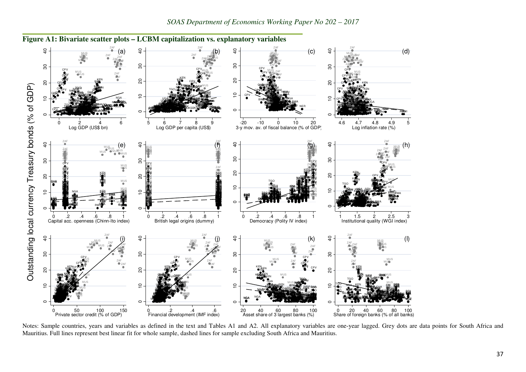

**Figure A1: Bivariate scatter plots – LCBM capitalization vs. explanatory variables** 

Notes: Sample countries, years and variables as defined in the text and Tables A1 and A2. All explanatory variables are one-year lagged. Grey dots are data points for South Africa and Mauritius. Full lines represent best linear fit for whole sample, dashed lines for sample excluding South Africa and Mauritius.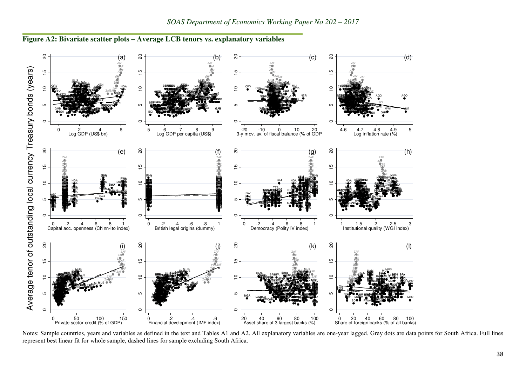

**Figure A2: Bivariate scatter plots – Average LCB tenors vs. explanatory variables** 

Notes: Sample countries, years and variables as defined in the text and Tables A1 and A2. All explanatory variables are one-year lagged. Grey dots are data points for South Africa. Full lines represent best linear fit for whole sample, dashed lines for sample excluding South Africa.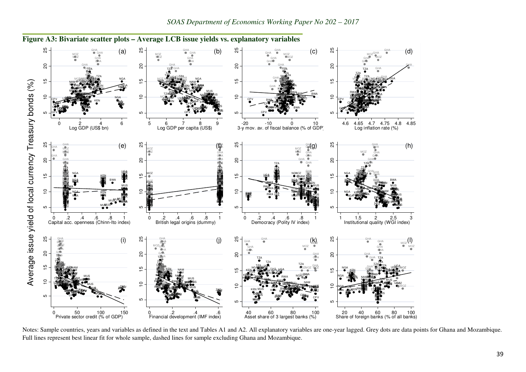

**Figure A3: Bivariate scatter plots – Average LCB issue yields vs. explanatory variables** 

Notes: Sample countries, years and variables as defined in the text and Tables A1 and A2. All explanatory variables are one-year lagged. Grey dots are data points for Ghana and Mozambique. Full lines represent best linear fit for whole sample, dashed lines for sample excluding Ghana and Mozambique.